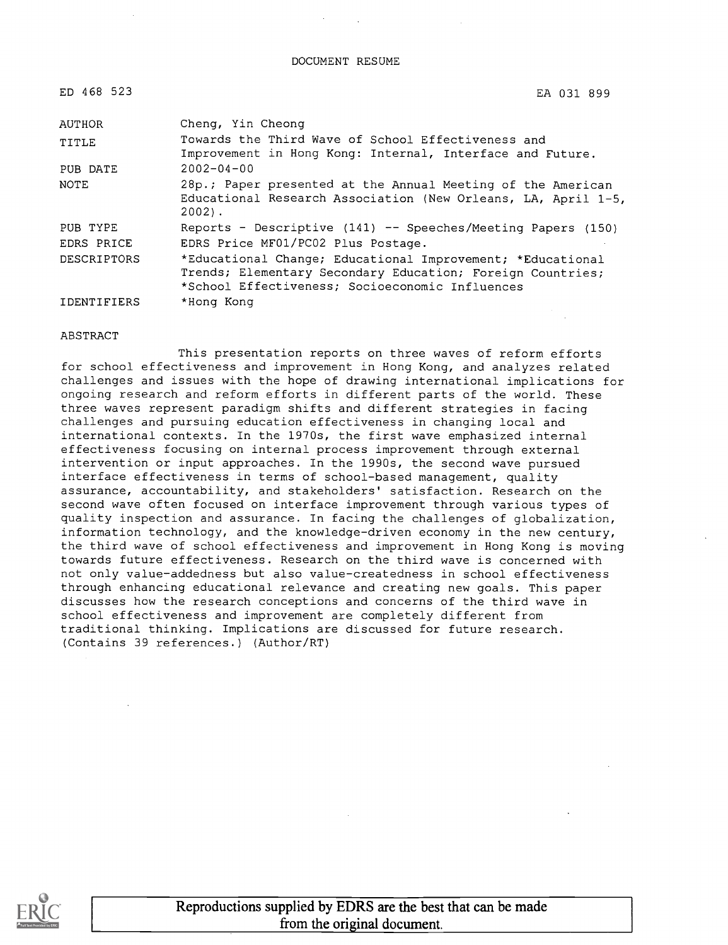#### DOCUMENT RESUME

| ED 468 523         | EA 031 899                                                                                                                                                                  |
|--------------------|-----------------------------------------------------------------------------------------------------------------------------------------------------------------------------|
| AUTHOR             | Cheng, Yin Cheong                                                                                                                                                           |
| TITLE              | Towards the Third Wave of School Effectiveness and<br>Improvement in Hong Kong: Internal, Interface and Future.                                                             |
| PUB DATE           | $2002 - 04 - 00$                                                                                                                                                            |
| NOTE               | 28p.; Paper presented at the Annual Meeting of the American<br>Educational Research Association (New Orleans, LA, April 1-5,<br>$2002$ .                                    |
| PUB TYPE           | Reports - Descriptive (141) -- Speeches/Meeting Papers (150)                                                                                                                |
| EDRS PRICE         | EDRS Price MF01/PC02 Plus Postage.                                                                                                                                          |
| <b>DESCRIPTORS</b> | *Educational Change; Educational Improvement; *Educational<br>Trends; Elementary Secondary Education; Foreign Countries;<br>*School Effectiveness; Socioeconomic Influences |
| IDENTIFIERS        | *Hong Kong                                                                                                                                                                  |

#### ABSTRACT

This presentation reports on three waves of reform efforts for school effectiveness and improvement in Hong Kong, and analyzes related challenges and issues with the hope of drawing international implications for ongoing research and reform efforts in different parts of the world. These three waves represent paradigm shifts and different strategies in facing challenges and pursuing education effectiveness in changing local and international contexts. In the 1970s, the first wave emphasized internal effectiveness focusing on internal process improvement through external intervention or input approaches. In the 1990s, the second wave pursued interface effectiveness in terms of school-based management, quality assurance, accountability, and stakeholders' satisfaction. Research on the second wave often focused on interface improvement through various types of quality inspection and assurance. In facing the challenges of globalization, information technology, and the knowledge-driven economy in the new century, the third wave of school effectiveness and improvement in Hong Kong is moving towards future effectiveness. Research on the third wave is concerned with not only value-addedness but also value-createdness in school effectiveness through enhancing educational relevance and creating new goals. This paper discusses how the research conceptions and concerns of the third wave in school effectiveness and improvement are completely different from traditional thinking. Implications are discussed for future research. (Contains 39 references.) (Author/RT)

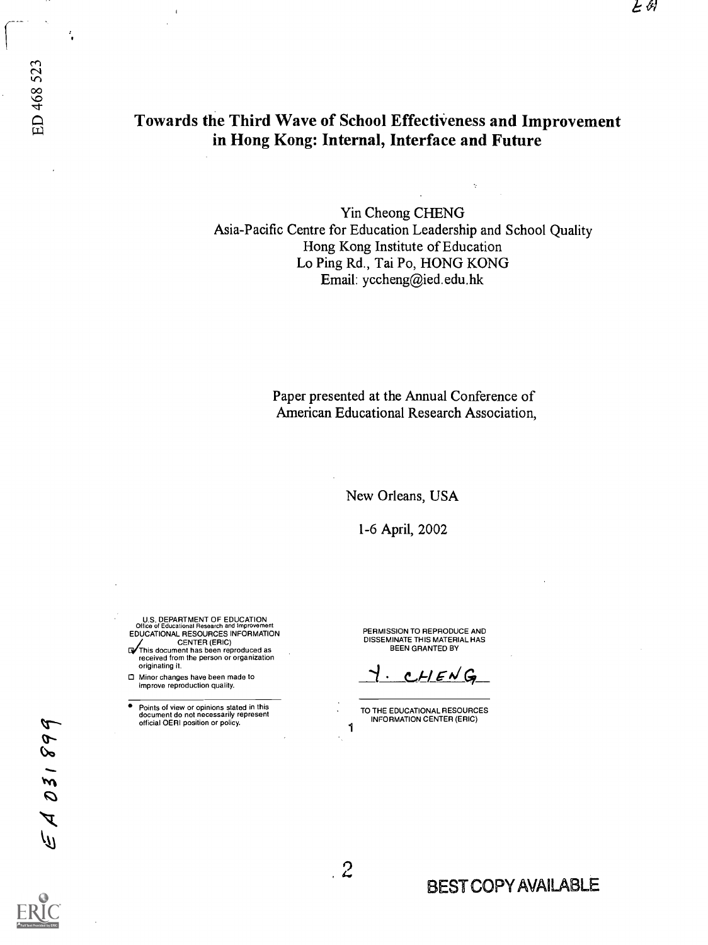$\frac{1}{2}$ 

## Towards the Third Wave of School Effectiveness and Improvement in Hong Kong: Internal, Interface and Future

Yin Cheong CHENG Asia-Pacific Centre for Education Leadership and School Quality Hong Kong Institute of Education Lo Ping Rd., Tai Po, HONG KONG Email: yccheng@ied.edu.hk

> Paper presented at the Annual Conference of American Educational Research Association,

> > New Orleans, USA

1-6 April, 2002

U.S. DEPARTMENT OF EDUCATION Office of Educational Research and Improvement EDUCATIONAL RESOURCES INFORMATION

CENTER (ERIC) This document has been reproduced as received from the person or organization originating it.

Minor changes have been made to improve reproduction quality.

Points of view or opinions stated in this document do not necessarily represent official OERI position or policy.

PERMISSION TO REPRODUCE AND DISSEMINATE THIS MATERIAL HAS BEEN GRANTED BY

 $H$  $\in$  $N$   $\in$ 

1 TO THE EDUCATIONAL RESOURCES INFORMATION CENTER (ERIC)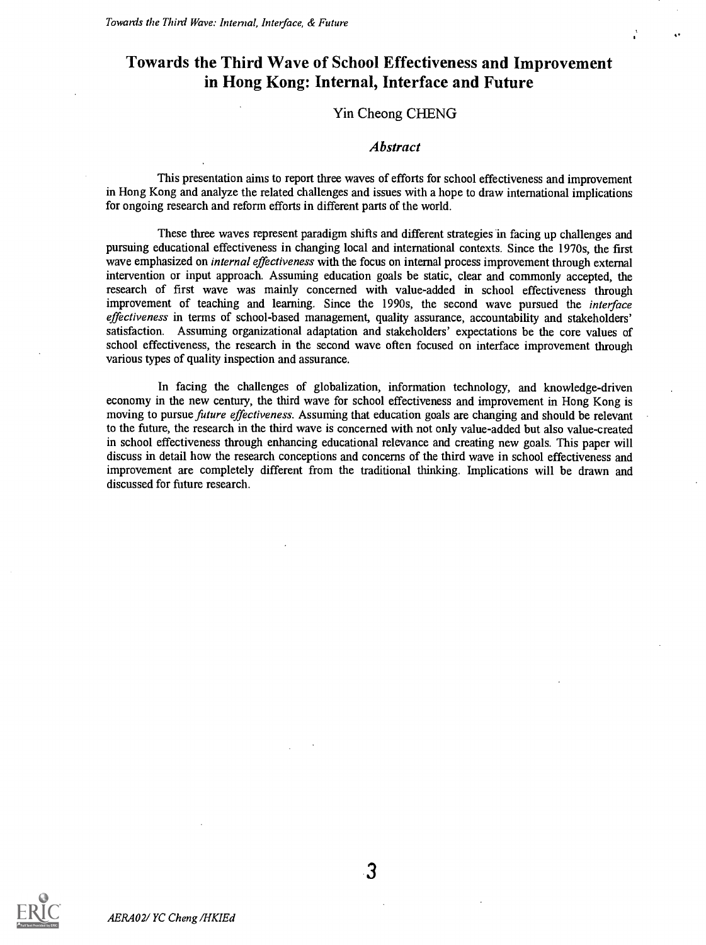## Towards the Third Wave of School Effectiveness and Improvement in Hong Kong: Internal, Interface and Future

## Yin Cheong CHENG

### Abstract

This presentation aims to report three waves of efforts for school effectiveness and improvement in Hong Kong and analyze the related challenges and issues with a hope to draw international implications for ongoing research and reform efforts in different parts of the world.

These three waves represent paradigm shifts and different strategies in facing up challenges and pursuing educational effectiveness in changing local and international contexts. Since the 1970s, the first wave emphasized on *internal effectiveness* with the focus on internal process improvement through external intervention or input approach. Assuming education goals be static, clear and commonly accepted, the research of first wave was mainly concerned with value-added in school effectiveness through improvement of teaching and learning. Since the 1990s, the second wave pursued the interface effectiveness in terms of school-based management, quality assurance, accountability and stakeholders' satisfaction. Assuming organizational adaptation and stakeholders' expectations be the core values of school effectiveness, the research in the second wave often focused on interface improvement through various types of quality inspection and assurance.

In facing the challenges of globalization, information technology, and knowledge-driven economy in the new century, the third wave for school effectiveness and improvement in Hong Kong is moving to pursue *future effectiveness*. Assuming that education goals are changing and should be relevant to the future, the research in the third wave is concerned with not only value-added but also value-created in school effectiveness through enhancing educational relevance and creating new goals. This paper will discuss in detail how the research conceptions and concerns of the third wave in school effectiveness and improvement are completely different from the traditional thinking. Implications will be drawn and discussed for future research.



AERA02/ YC Cheng /HKIEd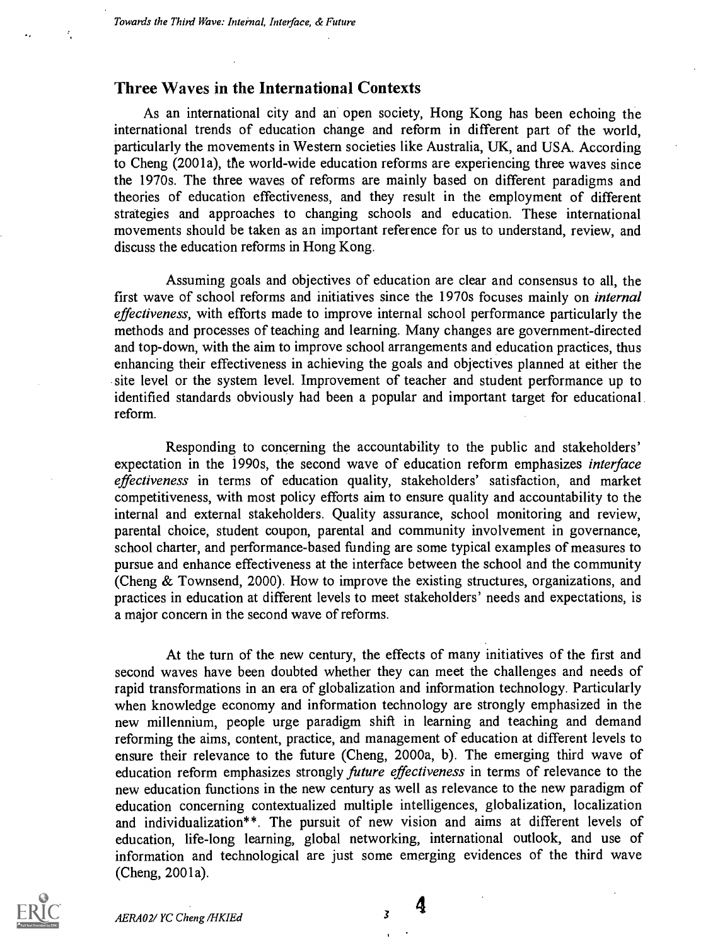$\mathcal{I}_1$ 

## Three Waves in the International Contexts

As an international city and an open society, Hong Kong has been echoing the international trends of education change and reform in different part of the world, particularly the movements in Western societies like Australia, UK, and USA. According to Cheng (2001a), the world-wide education reforms are experiencing three waves since the 1970s. The three waves of reforms are mainly based on different paradigms and theories of education effectiveness, and they result in the employment of different strategies and approaches to changing schools and education. These international movements should be taken as an important reference for us to understand, review, and discuss the education reforms in Hong Kong.

Assuming goals and objectives of education are clear and consensus to all, the first wave of school reforms and initiatives since the 1970s focuses mainly on internal effectiveness, with efforts made to improve internal school performance particularly the methods and processes of teaching and learning. Many changes are government-directed and top-down, with the aim to improve school arrangements and education practices, thus enhancing their effectiveness in achieving the goals and objectives planned at either the site level or the system level. Improvement of teacher and student performance up to identified standards obviously had been a popular and important target for educational reform.

Responding to concerning the accountability to the public and stakeholders' expectation in the 1990s, the second wave of education reform emphasizes interface effectiveness in terms of education quality, stakeholders' satisfaction, and market competitiveness, with most policy efforts aim to ensure quality and accountability to the internal and external stakeholders. Quality assurance, school monitoring and review, parental choice, student coupon, parental and community involvement in governance, school charter, and performance-based funding are some typical examples of measures to pursue and enhance effectiveness at the interface between the school and the community (Cheng & Townsend, 2000). How to improve the existing structures, organizations, and practices in education at different levels to meet stakeholders' needs and expectations, is a major concern in the second wave of reforms.

At the turn of the new century, the effects of many initiatives of the first and second waves have been doubted whether they can meet the challenges and needs of rapid transformations in an era of globalization and information technology. Particularly when knowledge economy and information technology are strongly emphasized in the new millennium, people urge paradigm shift in learning and teaching and demand reforming the aims, content, practice, and management of education at different levels to ensure their relevance to the future (Cheng, 2000a, b). The emerging third wave of education reform emphasizes strongly *future effectiveness* in terms of relevance to the new education functions in the new century as well as relevance to the new paradigm of education concerning contextualized multiple intelligences, globalization, localization and individualization\*\*. The pursuit of new vision and aims at different levels of education, life-long learning, global networking, international outlook, and use of information and technological are just some emerging evidences of the third wave (Cheng, 2001a).

 $\frac{1}{3}$  4



AERA02/ YC Cheng /HKIEd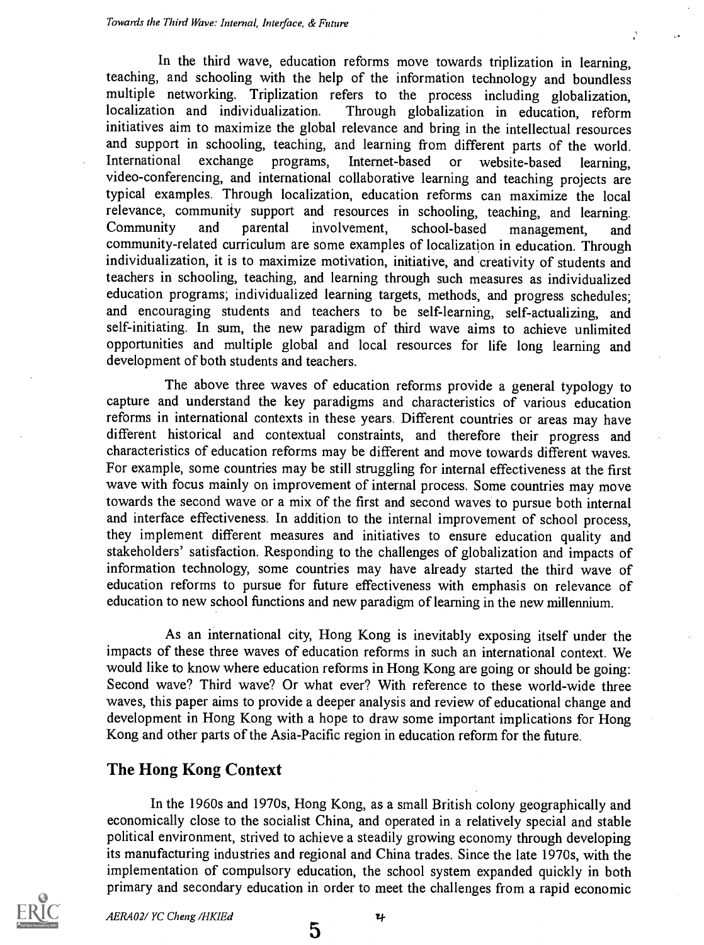In the third wave, education reforms move towards triplization in learning, teaching, and schooling with the help of the information technology and boundless multiple networking. Triplization refers to the process including globalization, localization and individualization. Through globalization in education reform Through globalization in education, reform initiatives aim to maximize the global relevance and bring in the intellectual resources and support in schooling, teaching, and learning from different parts of the world.<br>International exchange programs, Internet-based or website-based learning. International exchange programs, Internet-based or website-based learning, video-conferencing, and international collaborative learning and teaching projects are typical examples. Through localization, education reforms can maximize the local relevance, community support and resources in schooling, teaching, and learning.<br>Community and parental involvement, school-based management and Community and parental involvement, school-based management, and community-related curriculum are some examples of localization in education. Through individualization, it is to maximize motivation, initiative, and creativity of students and teachers in schooling, teaching, and learning through such measures as individualized education programs; individualized learning targets, methods, and progress schedules; and encouraging students and teachers to be self-learning, self-actualizing, and self-initiating. In sum, the new paradigm of third wave aims to achieve unlimited opportunities and multiple global and local resources for life long learning and development of both students and teachers.

The above three waves of education reforms provide a general typology to capture and understand the key paradigms and characteristics of various education reforms in international contexts in these years. Different countries or areas may have different historical and contextual constraints, and therefore their progress and characteristics of education reforms may be different and move towards different waves. For example, some countries may be still struggling for internal effectiveness at the first wave with focus mainly on improvement of internal process. Some countries may move towards the second wave or a mix of the first and second waves to pursue both internal and interface effectiveness. In addition to the internal improvement of school process, they implement different measures and initiatives to ensure education quality and stakeholders' satisfaction. Responding to the challenges of globalization and impacts of information technology, some countries may have already started the third wave of education reforms to pursue for future effectiveness with emphasis on relevance of education to new school functions and new paradigm of learning in the new millennium.

As an international city, Hong Kong is inevitably exposing itself under the impacts of these three waves of education reforms in such an international context. We would like to know where education reforms in Hong Kong are going or should be going: Second wave? Third wave? Or what ever? With reference to these world-wide three waves, this paper aims to provide a deeper analysis and review of educational change and development in Hong Kong with a hope to draw some important implications for Hong Kong and other parts of the Asia-Pacific region in education reform for the future.

## The Hong Kong Context

In the 1960s and 1970s, Hong Kong, as a small British colony geographically and economically close to the socialist China, and operated in a relatively special and stable political environment, strived to achieve a steadily growing economy through developing its manufacturing industries and regional and China trades. Since the late 1970s, with the implementation of compulsory education, the school system expanded quickly in both primary and secondary education in order to meet the challenges from a rapid economic



 $AERA02/$  YC Cheng /HKIEd  $\overline{5}$   $\overline{4}$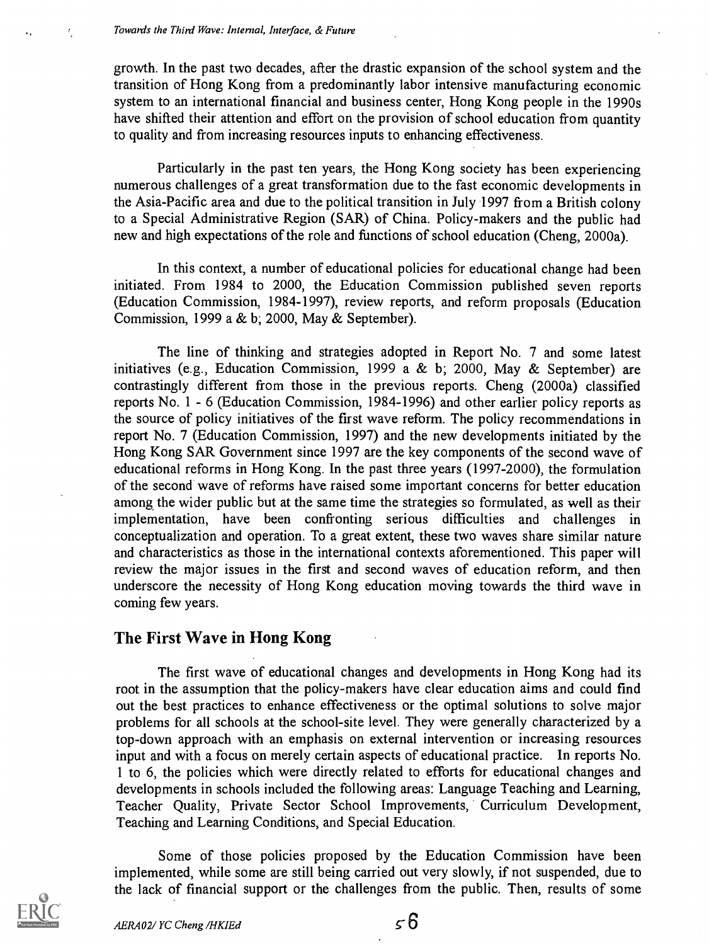growth. In the past two decades, after the drastic expansion of the school system and the transition of Hong Kong from a predominantly labor intensive manufacturing economic system to an international financial and business center, Hong Kong people in the 1990s have shifted their attention and effort on the provision of school education from quantity to quality and from increasing resources inputs to enhancing effectiveness.

Particularly in the past ten years, the Hong Kong society has been experiencing numerous challenges of a great transformation due to the fast economic developments in the Asia-Pacific area and due to the political transition in July 1997 from a British colony to a Special Administrative Region (SAR) of China. Policy-makers and the public had new and high expectations of the role and functions of school education (Cheng, 2000a).

In this context, a number of educational policies for educational change had been initiated. From 1984 to 2000, the Education Commission published seven reports (Education Commission, 1984-1997), review reports, and reform proposals (Education Commission, 1999 a & b; 2000, May & September).

The line of thinking and strategies adopted in Report No. 7 and some latest initiatives (e.g., Education Commission, 1999 a & b; 2000, May & September) are contrastingly different from those in the previous reports. Cheng (2000a) classified reports No. 1 - 6 (Education Commission, 1984-1996) and other earlier policy reports as the source of policy initiatives of the first wave reform. The policy recommendations in report No. 7 (Education Commission, 1997) and the new developments initiated by the Hong Kong SAR Government since 1997 are the key components of the second wave of educational reforms in Hong Kong. In the past three years (1997-2000), the formulation of the second wave of reforms have raised some important concerns for better education among the wider public but at the same time the strategies so formulated, as well as their implementation, have been confronting serious difficulties and challenges in conceptualization and operation. To a great extent, these two waves share similar nature and characteristics as those in the international contexts aforementioned. This paper will review the major issues in the first and second waves of education reform, and then underscore the necessity of Hong Kong education moving towards the third wave in coming few years.

## The First Wave in Hong Kong

The first wave of educational changes and developments in Hong Kong had its root in the assumption that the policy-makers have clear education aims and could find out the best practices to enhance effectiveness or the optimal solutions to solve major problems for all schools at the school-site level. They were generally characterized by a top-down approach with an emphasis on external intervention or increasing resources input and with a focus on merely certain aspects of educational practice. In reports No. 1 to 6, the policies which were directly related to efforts for educational changes and developments in schools included the following areas: Language Teaching and Learning, Teacher Quality, Private Sector School Improvements, Curriculum Development, Teaching and Learning Conditions, and Special Education.

Some of those policies proposed by the Education Commission have been implemented, while some are still being carried out very slowly, if not suspended, due to the lack of financial support or the challenges from the public. Then, results of some



AERA02/ YC Cheng /HKIEd  $\epsilon$ 6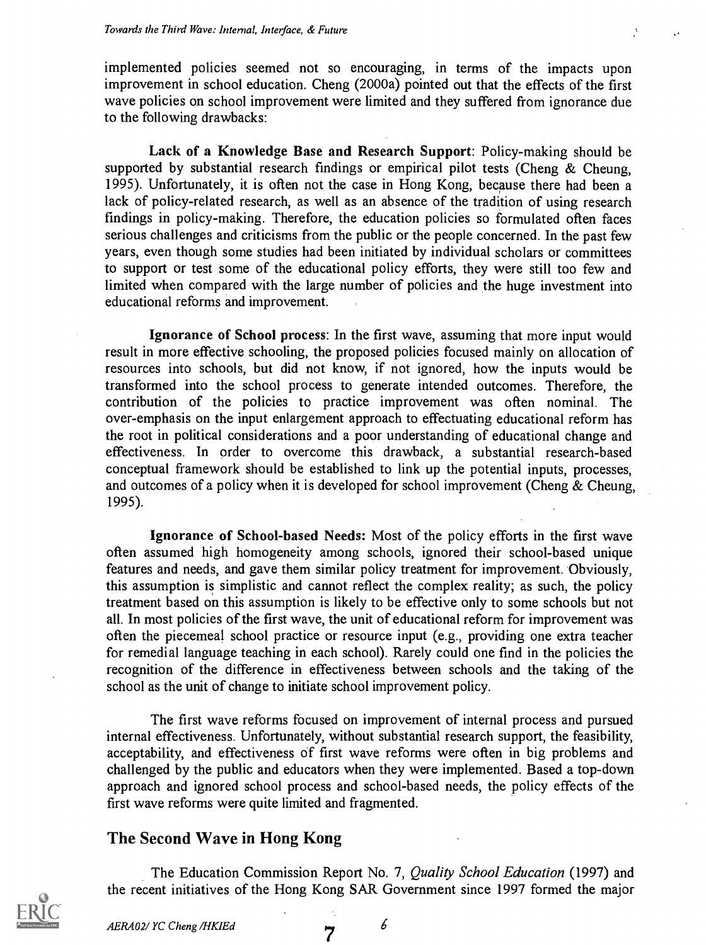implemented policies seemed not so encouraging, in terms of the impacts upon improvement in school education. Cheng (2000a) pointed out that the effects of the first wave policies on school improvement were limited and they suffered from ignorance due to the following drawbacks:

 $\ddot{\phantom{a}}$ 

Lack of a Knowledge Base and Research Support: Policy-making should be supported by substantial research findings or empirical pilot tests (Cheng  $&$  Cheung, 1995). Unfortunately, it is often not the case in Hong Kong, because there had been a lack of policy-related research, as well as an absence of the tradition of using research findings in policy-making. Therefore, the education policies so formulated often faces serious challenges and criticisms from the public or the people concerned. In the past few years, even though some studies had been initiated by individual scholars or committees to support or test some of the educational policy efforts, they were still too few and limited when compared with the large number of policies and the huge investment into educational reforms and improvement.

Ignorance of School process: In the first wave, assuming that more input would result in more effective schooling, the proposed policies focused mainly on allocation of resources into schools, but did not know, if not ignored, how the inputs would be transformed into the school process to generate intended outcomes. Therefore, the contribution of the policies to practice improvement was often nominal. The over-emphasis on the input enlargement approach to effectuating educational reform has the root in political considerations and a poor understanding of educational change and effectiveness. In order to overcome this drawback, a substantial research-based conceptual framework should be established to link up the potential inputs, processes, and outcomes of a policy when it is developed for school improvement (Cheng & Cheung, 1995).

Ignorance of School-based Needs: Most of the policy efforts in the first wave often assumed high homogeneity among schools, ignored their school-based unique features and needs, and gave them similar policy treatment for improvement. Obviously, this assumption is simplistic and cannot reflect the complex reality; as such, the policy treatment based on this assumption is likely to be effective only to some schools but not all. In most policies of the first wave, the unit of educational reform for improvement was often the piecemeal school practice or resource input (e.g., providing one extra teacher for remedial language teaching in each school). Rarely could one find in the policies the recognition of the difference in effectiveness between schools and the taking of the school as the unit of change to initiate school improvement policy.

The first wave reforms focused on improvement of internal process and pursued internal effectiveness. Unfortunately, without substantial research support, the feasibility, acceptability, and effectiveness of first wave reforms were often in big problems and challenged by the public and educators when they were implemented. Based a top-down approach and ignored school process and school-based needs, the policy effects of the first wave reforms were quite limited and fragmented.

## The Second Wave in Hong Kong



The Education Commission Report No. 7, Quality School Education (1997) and the recent initiatives of the Hong Kong SAR Government since 1997 formed the major

6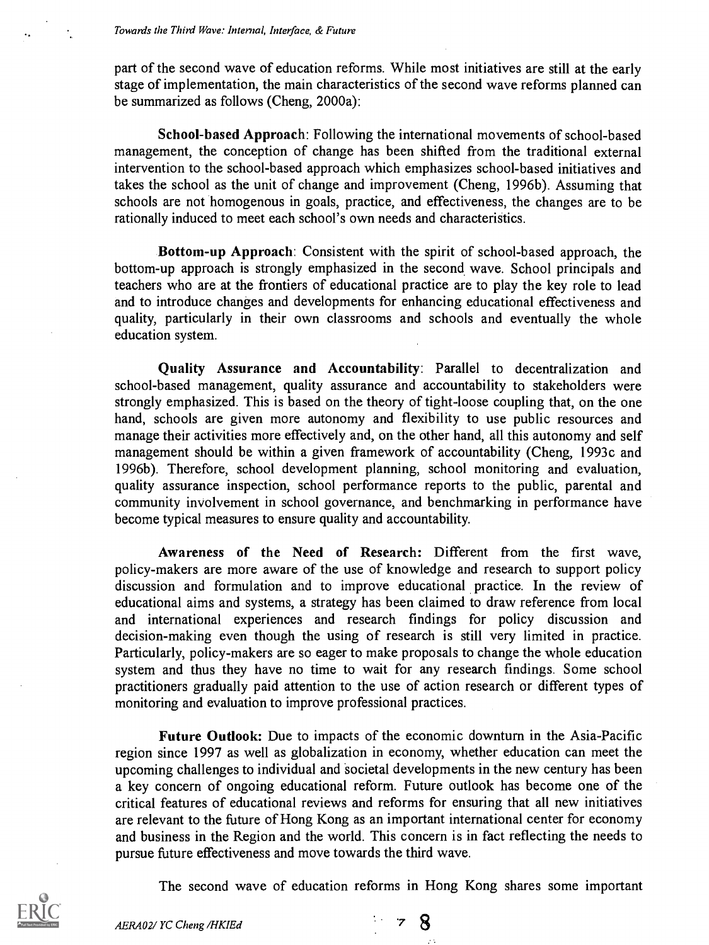part of the second wave of education reforms. While most initiatives are still at the early stage of implementation, the main characteristics of the second wave reforms planned can be summarized as follows (Cheng, 2000a):

School-based Approach: Following the international movements of school-based management, the conception of change has been shifted from the traditional external intervention to the school-based approach which emphasizes school-based initiatives and takes the school as the unit of change and improvement (Cheng, 1996b). Assuming that schools are not homogenous in goals, practice, and effectiveness, the changes are to be rationally induced to meet each school's own needs and characteristics.

Bottom-up Approach: Consistent with the spirit of school-based approach, the bottom-up approach is strongly emphasized in the second wave. School principals and teachers who are at the frontiers of educational practice are to play the key role to lead and to introduce changes and developments for enhancing educational effectiveness and quality, particularly in their own classrooms and schools and eventually the whole education system.

Quality Assurance and Accountability: Parallel to decentralization and school-based management, quality assurance and accountability to stakeholders were strongly emphasized. This is based on the theory of tight-loose coupling that, on the one hand, schools are given more autonomy and flexibility to use public resources and manage their activities more effectively and, on the other hand, all this autonomy and self management should be within a given framework of accountability (Cheng, 1993c and 1996b). Therefore, school development planning, school monitoring and evaluation, quality assurance inspection, school performance reports to the public, parental and community involvement in school governance, and benchmarking in performance have become typical measures to ensure quality and accountability.

Awareness of the Need of Research: Different from the first wave, policy-makers are more aware of the use of knowledge and research to support policy discussion and formulation and to improve educational practice. In the review of educational aims and systems, a strategy has been claimed to draw reference from local and international experiences and research findings for policy discussion and decision-making even though the using of research is still very limited in practice. Particularly, policy-makers are so eager to make proposals to change the whole education system and thus they have no time to wait for any research findings. Some school practitioners gradually paid attention to the use of action research or different types of monitoring and evaluation to improve professional practices.

Future Outlook: Due to impacts of the economic downturn in the Asia-Pacific region since 1997 as well as globalization in economy, whether education can meet the upcoming challenges to individual and societal developments in the new century has been a key concern of ongoing educational reform. Future outlook has become one of the critical features of educational reviews and reforms for ensuring that all new initiatives are relevant to the future of Hong Kong as an important international center for economy and business in the Region and the world. This concern is in fact reflecting the needs to pursue future effectiveness and move towards the third wave.



The second wave of education reforms in Hong Kong shares some important

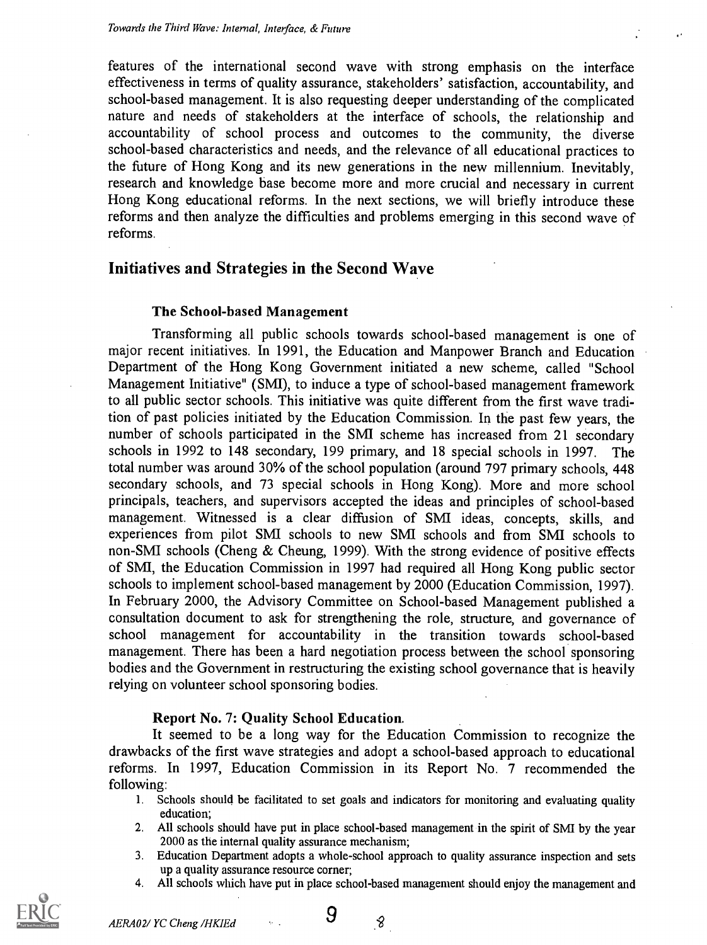features of the international second wave with strong emphasis on the interface effectiveness in terms of quality assurance, stakeholders' satisfaction, accountability, and school-based management. It is also requesting deeper understanding of the complicated nature and needs of stakeholders at the interface of schools, the relationship and accountability of school process and outcomes to the community, the diverse school-based characteristics and needs, and the relevance of all educational practices to the future of Hong Kong and its new generations in the new millennium. Inevitably, research and knowledge base become more and more crucial and necessary in current Hong Kong educational reforms. In the next sections, we will briefly introduce these reforms and then analyze the difficulties and problems emerging in this second wave of reforms.

## Initiatives and Strategies in the Second Wave

## The School-based Management

Transforming all public schools towards school-based management is one of major recent initiatives. In 1991, the Education and Manpower Branch and Education Department of the Hong Kong Government initiated a new scheme, called "School Management Initiative" (SMI), to induce a type of school-based management framework to all public sector schools. This initiative was quite different from the first wave tradition of past policies initiated by the Education Commission. In the past few years, the number of schools participated in the SMI scheme has increased from 21 secondary schools in 1992 to 148 secondary, 199 primary, and 18 special schools in 1997. The total number was around 30% of the school population (around 797 primary schools, 448 secondary schools, and 73 special schools in Hong Kong). More and more school principals, teachers, and supervisors accepted the ideas and principles of school-based management. Witnessed is a clear diffusion of SMI ideas, concepts, skills, and experiences from pilot SMI schools to new SMI schools and from SMI schools to non-SMI schools (Cheng & Cheung, 1999). With the strong evidence of positive effects of SMI, the Education Commission in 1997 had required all Hong Kong public sector schools to implement school-based management by 2000 (Education Commission, 1997). In February 2000, the Advisory Committee on School-based Management published a consultation document to ask for strengthening the role, structure, and governance of school management for accountability in the transition towards school-based management. There has been a hard negotiation process between the school sponsoring bodies and the Government in restructuring the existing school governance that is heavily relying on volunteer school sponsoring bodies.

## Report No. 7: Quality School Education.

It seemed to be a long way for the Education Commission to recognize the drawbacks of the first wave strategies and adopt a school-based approach to educational reforms. In 1997, Education Commission in its Report No. 7 recommended the following:

- 1. Schools should be facilitated to set goals and indicators for monitoring and evaluating quality education;
- 2. All schools should have put in place school-based management in the spirit of SMI by the year 2000 as the internal quality assurance mechanism;
- 3. Education Department adopts a whole-school approach to quality assurance inspection and sets up a quality assurance resource corner;
- 4. All schools which have put in place school-based management should enjoy the management and

-8

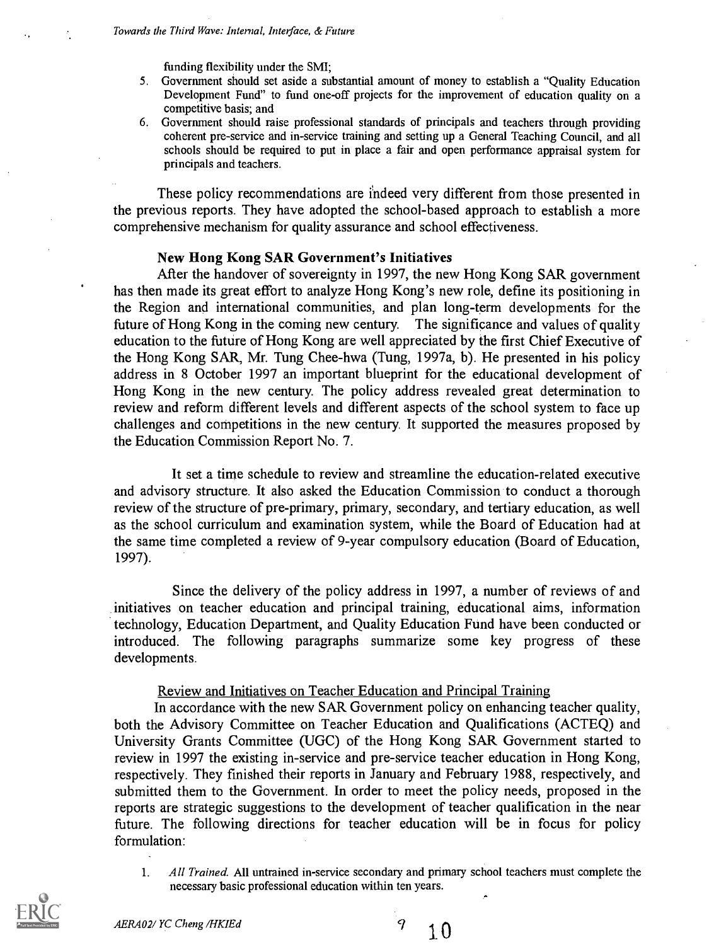funding flexibility under the SMI;

- 5. Government should set aside a substantial amount of money to establish a "Quality Education Development Fund" to fund one-off projects for the improvement of education quality on a competitive basis; and
- 6. Government should raise professional standards of principals and teachers through providing coherent pre-service and in-service training and setting up a General Teaching Council, and all schools should be required to put in place a fair and open performance appraisal system for principals and teachers.

These policy recommendations are i'ndeed very different from those presented in the previous reports. They have adopted the school-based approach to establish a more comprehensive mechanism for quality assurance and school effectiveness.

### New Hong Kong SAR Government's Initiatives

After the handover of sovereignty in 1997, the new Hong Kong SAR government has then made its great effort to analyze Hong Kong's new role, define its positioning in the Region and international communities, and plan long-term developments for the future of Hong Kong in the coming new century. The significance and values of quality education to the future of Hong Kong are well appreciated by the first Chief Executive of the Hong Kong SAR, Mr. Tung Chee-hwa (Tung, 1997a, b). He presented in his policy address in 8 October 1997 an important blueprint for the educational development of Hong Kong in the new century. The policy address revealed great determination to review and reform different levels and different aspects of the school system to face up challenges and competitions in the new century. It supported the measures proposed by the Education Commission Report No. 7.

It set a time schedule to review and streamline the education-related executive and advisory structure. It also asked the Education Commission to conduct a thorough review of the structure of pre-primary, primary, secondary, and tertiary education, as well as the school curriculum and examination system, while the Board of Education had at the same time completed a review of 9-year compulsory education (Board of Education, 1997).

Since the delivery of the policy address in 1997, a number of reviews of and initiatives on teacher education and principal training, educational aims, information technology, Education Department, and Quality Education Fund have been conducted or introduced. The following paragraphs summarize some key progress of these developments.

### Review and Initiatives on Teacher Education and Principal Training

In accordance with the new SAR Government policy on enhancing teacher quality, both the Advisory Committee on Teacher Education and Qualifications (ACTEQ) and University Grants Committee (UGC) of the Hong Kong SAR Government started to review in 1997 the existing in-service and pre-service teacher education in Hong Kong, respectively. They finished their reports in January and February 1988, respectively, and submitted them to the Government. In order to meet the policy needs, proposed in the reports are strategic suggestions to the development of teacher qualification in the near future. The following directions for teacher education will be in focus for policy formulation:

1. All Trained. All untrained in-service secondary and primary school teachers must complete the necessary basic professional education within ten years.

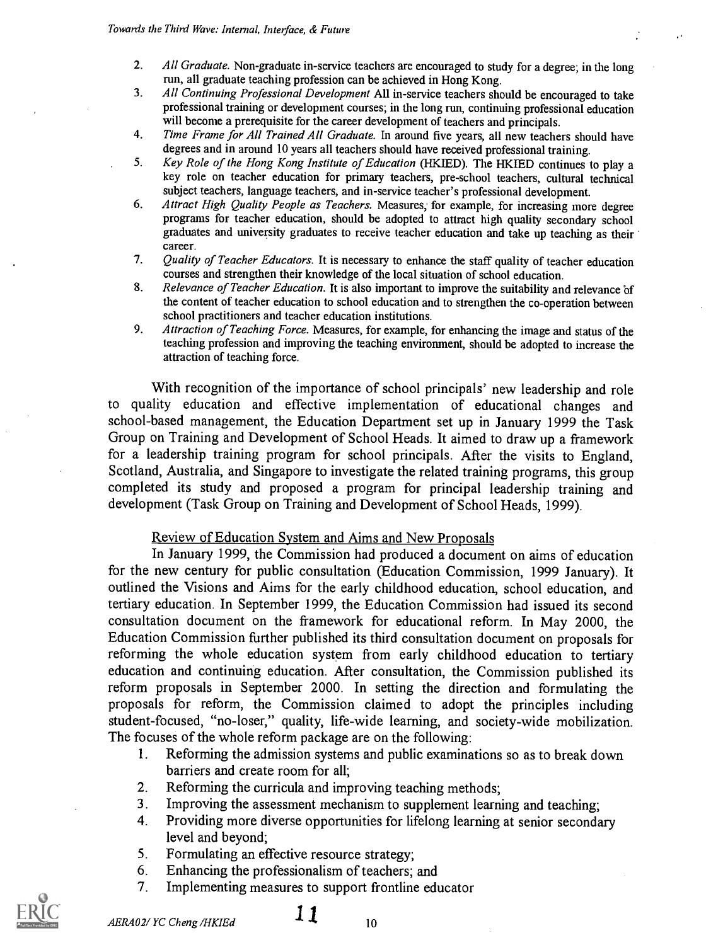- 2. All Graduate. Non-graduate in-service teachers are encouraged to study for a degree; in the long run, all graduate teaching profession can be achieved in Hong Kong.
- 3. All Continuing Professional Development All in-service teachers should be encouraged to take professional training or development courses; in the long run, continuing professional education will become a prerequisite for the career development of teachers and principals.
- 4. Time Frame for All Trained All Graduate. In around five years, all new teachers should have degrees and in around 10 years all teachers should have received professional training.<br>Key Role of the Hong Kong Institute of Education (HKIED). The HKIED continues to play a
- 5. Key Role of the Hong Kong Institute of Education (HKIED). The HKIED continues to play <sup>a</sup> key role on teacher education for primary teachers, pre-school teachers, cultural technical subject teachers, language teachers, and in-service teacher's professional development.
- 6. Attract High Quality People as Teachers. Measures; for example, for increasing more degree programs for teacher education, should be adopted to attract high quality secondary school graduates and university graduates to receive teacher education and take up teaching as their career.
- 7. Quality of Teacher Educators. It is necessary to enhance the staff quality of teacher education courses and strengthen their knowledge of the local situation of school education.
- 8. Relevance of Teacher Education. It is also important to improve the suitability and relevance of the content of teacher education to school education and to strengthen the co-operation between school practitioners and teacher education institutions.
- 9. Attraction of Teaching Force. Measures, for example, for enhancing the image and status of the teaching profession and improving the teaching environment, should be adopted to increase the attraction of teaching force.

With recognition of the importance of school principals' new leadership and role to quality education and effective implementation of educational changes and school-based management, the Education Department set up in January 1999 the Task Group on Training and Development of School Heads. It aimed to draw up a framework for a leadership training program for school principals. After the visits to England, Scotland, Australia, and Singapore to investigate the related training programs, this group completed its study and proposed a program for principal leadership training and development (Task Group on Training and Development of School Heads, 1999).

## Review of Education System and Aims and New Proposals

In January 1999, the Commission had produced a document on aims of education for the new century for public consultation (Education Commission, 1999 January). It outlined the Visions and Aims for the early childhood education, school education, and tertiary education. In September 1999, the Education Commission had issued its second consultation document on the framework for educational reform. In May 2000, the Education Commission further published its third consultation document on proposals for reforming the whole education system from early childhood education to tertiary education and continuing education. After consultation, the Commission published its reform proposals in September 2000. In setting the direction and formulating the proposals for reform, the Commission claimed to adopt the principles including student-focused, "no-loser," quality, life-wide learning, and society-wide mobilization. The focuses of the whole reform package are on the following:

- 1. Reforming the admission systems and public examinations so as to break down barriers and create room for all;
- 2. Reforming the curricula and improving teaching methods;
- 3. Improving the assessment mechanism to supplement learning and teaching;
- 4. Providing more diverse opportunities for lifelong learning at senior secondary level and beyond;
- 5. Formulating an effective resource strategy;
- 6. Enhancing the professionalism of teachers; and
- 7. Implementing measures to support frontline educator



AERA02/ YC Cheng /HKIEd  $11$   $10$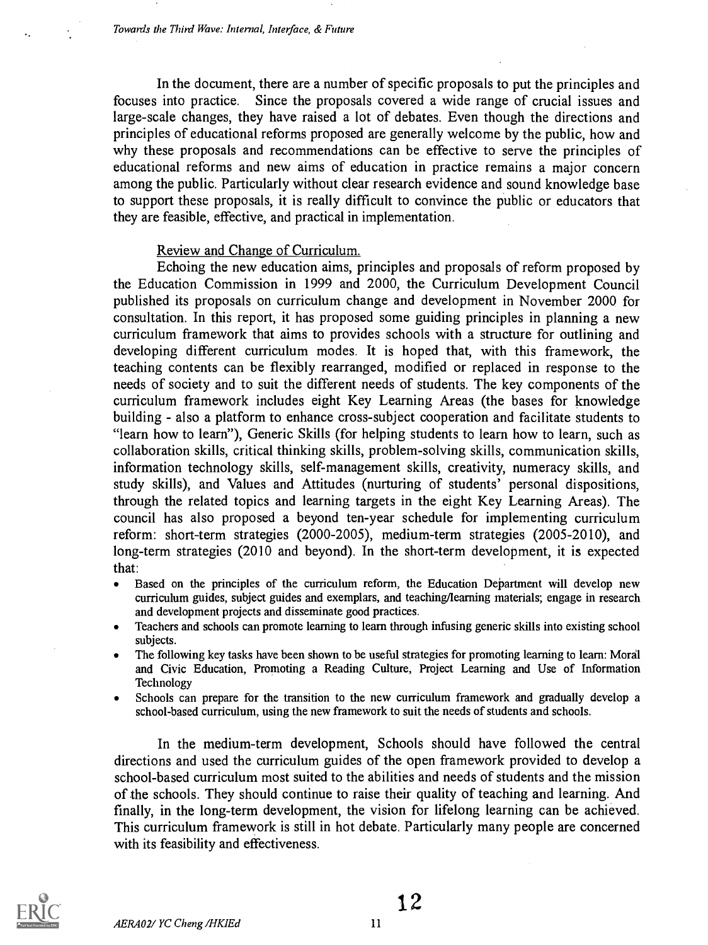In the document, there are a number of specific proposals to put the principles and focuses into practice. Since the proposals covered a wide range of crucial issues and large-scale changes, they have raised a lot of debates. Even though the directions and principles of educational reforms proposed are generally welcome by the public, how and why these proposals and recommendations can be effective to serve the principles of educational reforms and new aims of education in practice remains a major concern among the public. Particularly without clear research evidence and sound knowledge base to support these proposals, it is really difficult to convince the public or educators that they are feasible, effective, and practical in implementation.

### Review and Change of Curriculum.

Echoing the new education aims, principles and proposals of reform proposed by the Education Commission in 1999 and 2000, the Curriculum Development Council published its proposals on curriculum change and development in November 2000 for consultation. In this report, it has proposed some guiding principles in planning a new curriculum framework that aims to provides schools with a structure for outlining and developing different curriculum modes. It is hoped that, with this framework, the teaching contents can be flexibly rearranged, modified or replaced in response to the needs of society and to suit the different needs of students. The key components of the curriculum framework includes eight Key Learning Areas (the bases for knowledge building - also a platform to enhance cross-subject cooperation and facilitate students to "learn how to learn"), Generic Skills (for helping students to learn how to learn, such as collaboration skills, critical thinking skills, problem-solving skills, communication skills, information technology skills, self-management skills, creativity, numeracy skills, and study skills), and Values and Attitudes (nurturing of students' personal dispositions, through the related topics and learning targets in the eight Key Learning Areas). The council has also proposed a beyond ten-year schedule for implementing curriculum reform: short-term strategies (2000-2005), medium-term strategies (2005-2010), and long-term strategies (2010 and beyond). In the short-term development, it is expected that:

- Based on the principles of the curriculum reform, the Education Department will develop new curriculum guides, subject guides and exemplars, and teaching/learning materials; engage in research and development projects and disseminate good practices.
- Teachers and schools can promote learning to learn through infusing generic skills into existing school subjects.
- The following key tasks have been shown to be useful strategies for promoting learning to learn: Moral and Civic Education, Promoting a Reading Culture, Project Learning and Use of Information Technology
- Schools can prepare for the transition to the new curriculum framework and gradually develop a school-based curriculum, using the new framework to suit the needs of students and schools.

In the medium-term development, Schools should have followed the central directions and used the curriculum guides of the open framework provided to develop a school-based curriculum most suited to the abilities and needs of students and the mission of the schools. They should continue to raise their quality of teaching and learning. And finally, in the long-term development, the vision for lifelong learning can be achieved. This curriculum framework is still in hot debate. Particularly many people are concerned with its feasibility and effectiveness.

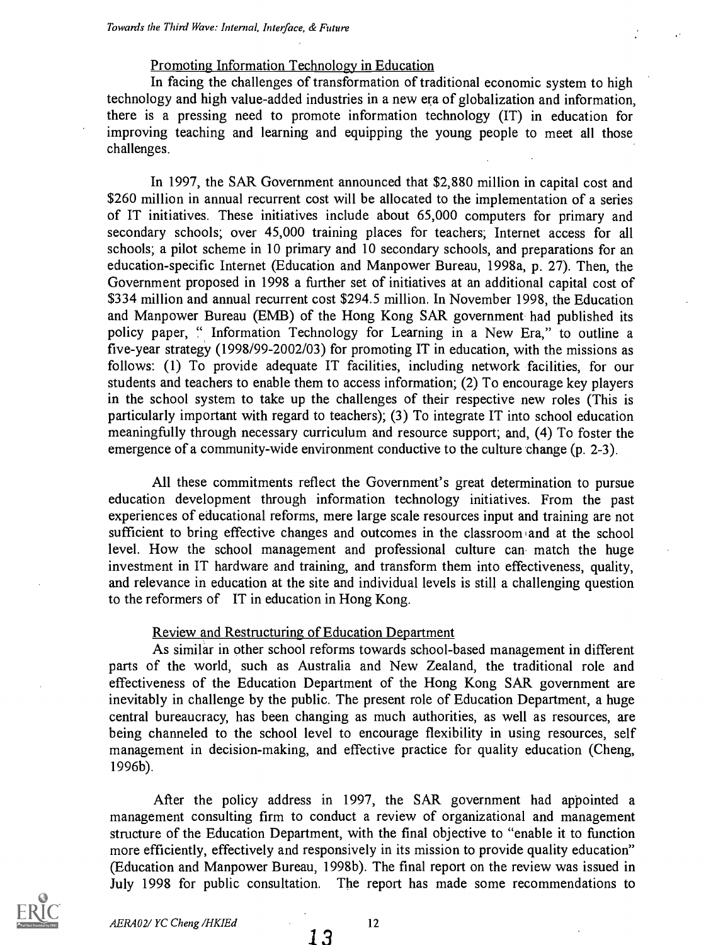## Promoting Information Technology in Education

In facing the challenges of transformation of traditional economic system to high technology and high value-added industries in a new era of globalization and information, there is a pressing need to promote information technology (IT) in education for improving teaching and learning and equipping the young people to meet all those challenges.

In 1997, the SAR Government announced that \$2,880 million in capital cost and \$260 million in annual recurrent cost will be allocated to the implementation of a series of IT initiatives. These initiatives include about 65,000 computers for primary and secondary schools; over 45,000 training places for teachers; Internet access for all schools; a pilot scheme in 10 primary and 10 secondary schools, and preparations for an education-specific Internet (Education and Manpower Bureau, 1998a, p. 27). Then, the Government proposed in 1998 a further set of initiatives at an additional capital cost of \$334 million and annual recurrent cost \$294.5 million. In November 1998, the Education and Manpower Bureau (EMB) of the Hong Kong SAR government had published its policy paper, " Information Technology for Learning in a New Era," to outline a five-year strategy (1998/99-2002/03) for promoting IT in education, with the missions as follows: (1) To provide adequate IT facilities, including network facilities, for our students and teachers to enable them to access information; (2) To encourage key players in the school system to take up the challenges of their respective new roles (This is particularly important with regard to teachers); (3) To integrate IT into school education meaningfully through necessary curriculum and resource support; and, (4) To foster the emergence of a community-wide environment conductive to the culture change (p. 2-3).

All these commitments reflect the Government's great determination to pursue education development through information technology initiatives. From the past experiences of educational reforms, mere large scale resources input and training are not sufficient to bring effective changes and outcomes in the classroom and at the school level. How the school management and professional culture can match the huge investment in IT hardware and training, and transform them into effectiveness, quality, and relevance in education at the site and individual levels is still a challenging question to the reformers of IT in education in Hong Kong.

## Review and Restructuring of Education Department

As similar in other school reforms towards school-based management in different parts of the world, such as Australia and New Zealand, the traditional role and effectiveness of the Education Department of the Hong Kong SAR government are inevitably in challenge by the public. The present role of Education Department, a huge central bureaucracy, has been changing as much authorities, as well as resources, are being channeled to the school level to encourage flexibility in using resources, self management in decision-making, and effective practice for quality education (Cheng, 1996b).

After the policy address in 1997, the SAR government had appointed a management consulting firm to conduct a review of organizational and management structure of the Education Department, with the final objective to "enable it to function more efficiently, effectively and responsively in its mission to provide quality education" (Education and Manpower Bureau, 1998b). The final report on the review was issued in July 1998 for public consultation. The report has made some recommendations to



13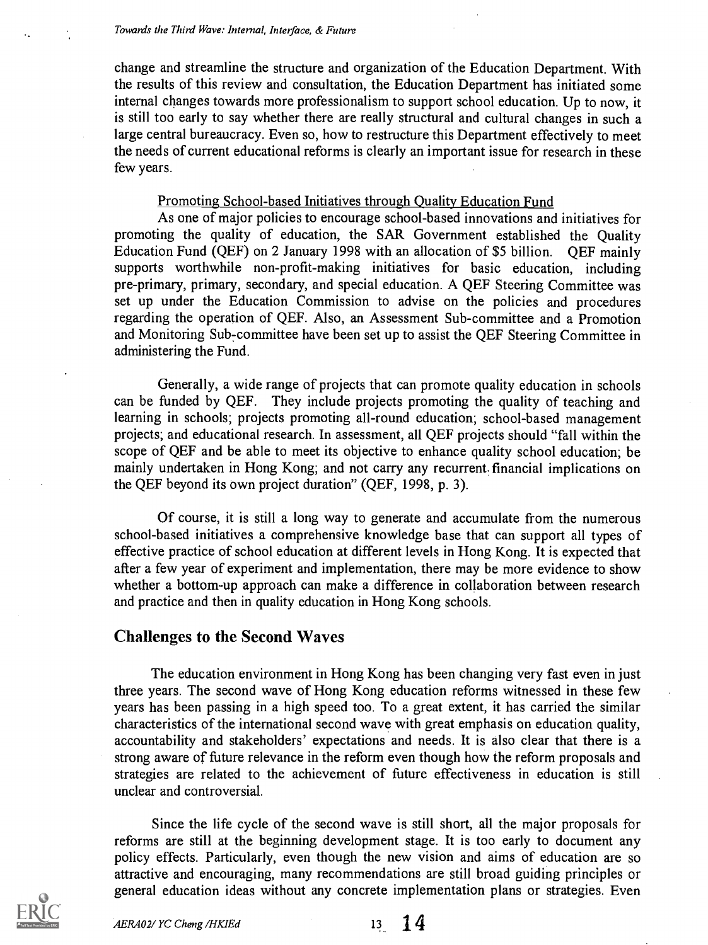change and streamline the structure and organization of the Education Department. With the results of this review and consultation, the Education Department has initiated some internal changes towards more professionalism to support school education. Up to now, it is still too early to say whether there are really structural and cultural changes in such a large central bureaucracy. Even so, how to restructure this Department effectively to meet the needs of current educational reforms is clearly an important issue for research in these few years.

### Promoting School-based Initiatives through Quality Education Fund

As one of major policies to encourage school-based innovations and initiatives for promoting the quality of education, the SAR Government established the Quality Education Fund (QEF) on 2 January 1998 with an allocation of \$5 billion. QEF mainly supports worthwhile non-profit-making initiatives for basic education, including pre-primary, primary, secondary, and special education. A QEF Steering Committee was set up under the Education Commission to advise on the policies and procedures regarding the operation of QEF. Also, an Assessment Sub-committee and a Promotion and Monitoring Sub-committee have been set up to assist the QEF Steering Committee in administering the Fund.

Generally, a wide range of projects that can promote quality education in schools can be funded by QEF. They include projects promoting the quality of teaching and learning in schools; projects promoting all-round education; school-based management projects; and educational research. In assessment, all QEF projects should "fall within the scope of QEF and be able to meet its objective to enhance quality school education; be mainly undertaken in Hong Kong; and not carry any recurrent. financial implications on the QEF beyond its own project duration" (QEF, 1998, p. 3).

Of course, it is still a long way to generate and accumulate from the numerous school-based initiatives a comprehensive knowledge base that can support all types of effective practice of school education at different levels in Hong Kong. It is expected that after a few year of experiment and implementation, there may be more evidence to show whether a bottom-up approach can make a difference in collaboration between research and practice and then in quality education in Hong Kong schools.

## Challenges to the Second Waves

The education environment in Hong Kong has been changing very fast even in just three years. The second wave of Hong Kong education reforms witnessed in these few years has been passing in a high speed too. To a great extent, it has carried the similar characteristics of the international second wave with great emphasis on education quality, accountability and stakeholders' expectations and needs. It is also clear that there is a strong aware of future relevance in the reform even though how the reform proposals and strategies are related to the achievement of future effectiveness in education is still unclear and controversial.

Since the life cycle of the second wave is still short, all the major proposals for reforms are still at the beginning development stage. It is too early to document any policy effects. Particularly, even though the new vision and aims of education are so attractive and encouraging, many recommendations are still broad guiding principles or general education ideas without any concrete implementation plans or strategies. Even



 $AERA02/$  YC Cheng /HKIEd 13 14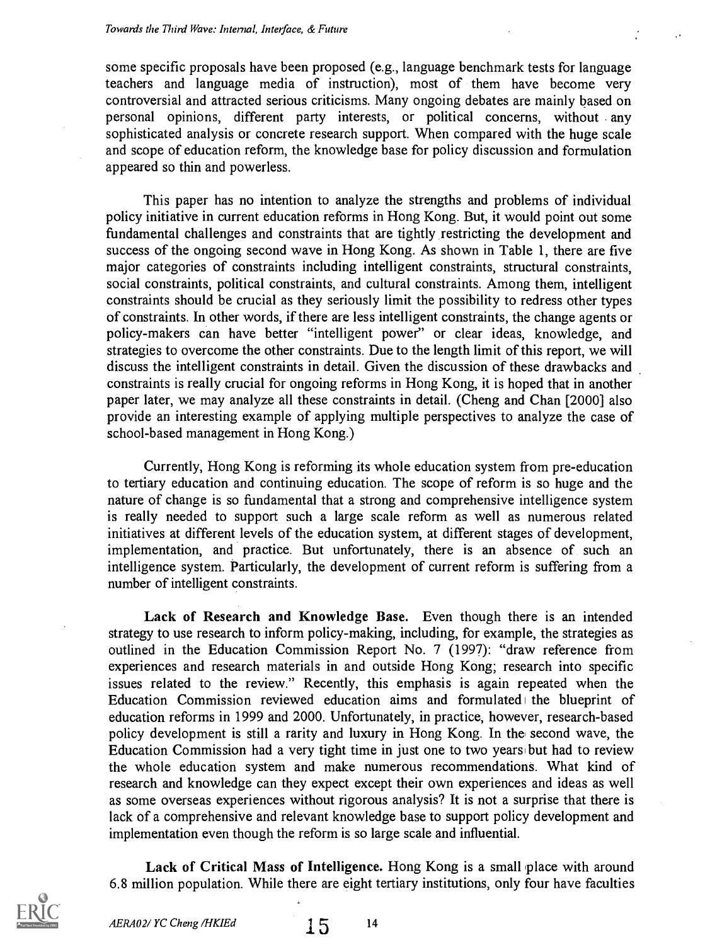some specific proposals have been proposed (e.g., language benchmark tests for language teachers and language media of instruction), most of them have become very controversial and attracted serious criticisms. Many ongoing debates are mainly based on personal opinions, different party interests, or political concerns, without . any sophisticated analysis or concrete research support. When compared with the huge scale and scope of education reform, the knowledge base for policy discussion and formulation appeared so thin and powerless.

This paper has no intention to analyze the strengths and problems of individual policy initiative in current education reforms in Hong Kong. But, it would point out some fundamental challenges and constraints that are tightly restricting the development and success of the ongoing second wave in Hong Kong. As shown in Table 1, there are five major categories of constraints including intelligent constraints, structural constraints, social constraints, political constraints, and cultural constraints. Among them, intelligent constraints should be crucial as they seriously limit the possibility to redress other types of constraints. In other words, if there are less intelligent constraints, the change agents or policy-makers can have better "intelligent power" or clear ideas, knowledge, and strategies to overcome the other constraints. Due to the length limit of this report, we will discuss the intelligent constraints in detail. Given the discussion of these drawbacks and constraints is really crucial for ongoing reforms in Hong Kong, it is hoped that in another paper later, we may analyze all these constraints in detail. (Cheng and Chan [2000] also provide an interesting example of applying multiple perspectives to analyze the case of school-based management in Hong Kong.)

Currently, Hong Kong is reforming its whole education system from pre-education to tertiary education and continuing education. The scope of reform is so huge and the nature of change is so fundamental that a strong and comprehensive intelligence system is really needed to support such a large scale reform as well as numerous related initiatives at different levels of the education system, at different stages of development, implementation, and practice. But unfortunately, there is an absence of such an intelligence system. Particularly, the development of current reform is suffering from a number of intelligent constraints.

Lack of Research and Knowledge Base. Even though there is an intended strategy to use research to inform policy-making, including, for example, the strategies as outlined in the Education Commission Report No. 7 (1997): "draw reference from experiences and research materials in and outside Hong Kong; research into specific issues related to the review." Recently, this emphasis is again repeated when the Education Commission reviewed education aims and formulated i the blueprint of education reforms in 1999 and 2000. Unfortunately, in practice, however, research-based policy development is still a rarity and luxury in Hong Kong. In the second wave, the Education Commission had a very tight time in just one to two years but had to review the whole education system and make numerous recommendations. What kind of research and knowledge can they expect except their own experiences and ideas as well as some overseas experiences without rigorous analysis? It is not a surprise that there is lack of a comprehensive and relevant knowledge base to support policy development and implementation even though the reform is so large scale and influential.

Lack of Critical Mass of Intelligence. Hong Kong is a small 'place with around 6.8 million population. While there are eight tertiary institutions, only four have faculties



 $AERA02/$  YC Cheng /HKIEd  $\overline{15}$  14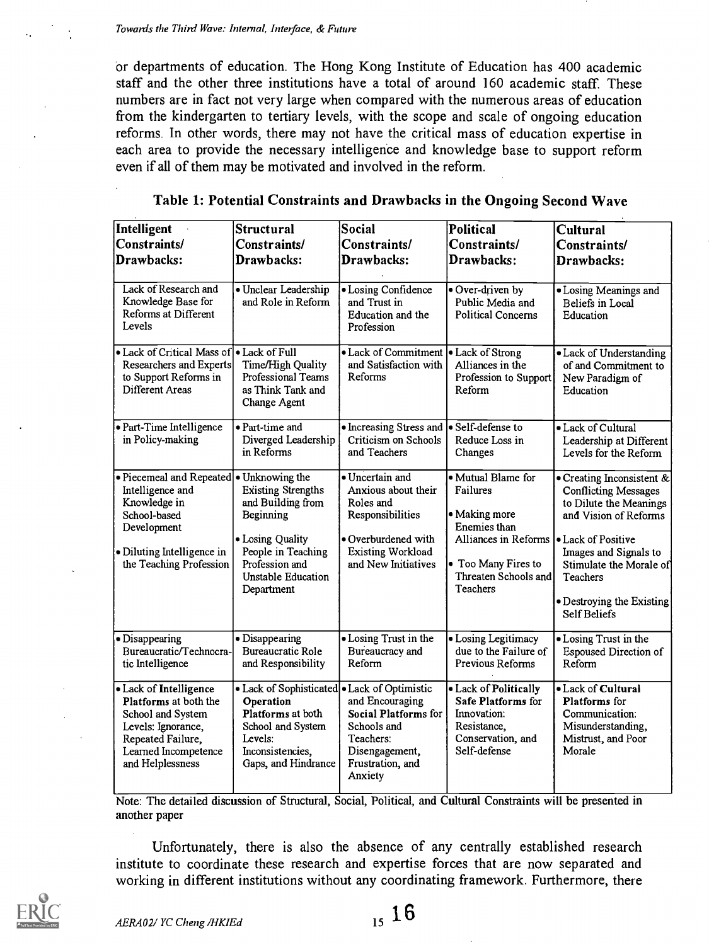or departments of education. The Hong Kong Institute of Education has 400 academic staff and the other three institutions have a total of around 160 academic staff. These numbers are in fact not very large when compared with the numerous areas of education from the kindergarten to tertiary levels, with the scope and scale of ongoing education reforms. In other words, there may not have the critical mass of education expertise in each area to provide the necessary intelligence and knowledge base to support reform even if all of them may be motivated and involved in the reform.

| Intelligent                                                                                                                                                          | <b>Structural</b>                                                                                                                                           | Social                                                                                                                                            | <b>Political</b>                                                                                                                                                      | <b>Cultural</b>                                                                                                                                                                                                                        |  |
|----------------------------------------------------------------------------------------------------------------------------------------------------------------------|-------------------------------------------------------------------------------------------------------------------------------------------------------------|---------------------------------------------------------------------------------------------------------------------------------------------------|-----------------------------------------------------------------------------------------------------------------------------------------------------------------------|----------------------------------------------------------------------------------------------------------------------------------------------------------------------------------------------------------------------------------------|--|
| Constraints/                                                                                                                                                         | Constraints/                                                                                                                                                | Constraints/                                                                                                                                      | Constraints/                                                                                                                                                          | Constraints/                                                                                                                                                                                                                           |  |
| Drawbacks:                                                                                                                                                           | Drawbacks:                                                                                                                                                  | Drawbacks:                                                                                                                                        | Drawbacks:                                                                                                                                                            | Drawbacks:                                                                                                                                                                                                                             |  |
| Lack of Research and<br>Knowledge Base for<br>Reforms at Different<br>Levels                                                                                         | · Unclear Leadership<br>and Role in Reform                                                                                                                  | • Losing Confidence<br>and Trust in<br>Education and the<br>Profession                                                                            | • Over-driven by<br>Public Media and<br><b>Political Concerns</b>                                                                                                     | • Losing Meanings and<br><b>Beliefs</b> in Local<br>Education                                                                                                                                                                          |  |
| · Lack of Critical Mass of<br>Researchers and Experts<br>to Support Reforms in<br>Different Areas                                                                    | • Lack of Full<br><b>Time/High Quality</b><br>Professional Teams<br>as Think Tank and<br>Change Agent                                                       | • Lack of Commitment<br>and Satisfaction with<br>Reforms                                                                                          | • Lack of Strong<br>Alliances in the<br>Profession to Support<br>Reform                                                                                               | • Lack of Understanding<br>of and Commitment to<br>New Paradigm of<br>Education                                                                                                                                                        |  |
| · Part-Time Intelligence<br>in Policy-making                                                                                                                         | · Part-time and<br>Diverged Leadership<br>in Reforms                                                                                                        | · Increasing Stress and<br>Criticism on Schools<br>and Teachers                                                                                   | $\bullet$ Self-defense to<br>Reduce Loss in<br>Changes                                                                                                                | • Lack of Cultural<br>Leadership at Different<br>Levels for the Reform                                                                                                                                                                 |  |
| • Piecemeal and Repeated • Unknowing the<br>Intelligence and<br>Knowledge in<br>School-based<br>Development<br>• Diluting Intelligence in<br>the Teaching Profession | <b>Existing Strengths</b><br>and Building from<br>Beginning<br>• Losing Quality<br>People in Teaching<br>Profession and<br>Unstable Education<br>Department | • Uncertain and<br>Anxious about their<br>Roles and<br>Responsibilities<br>• Overburdened with<br><b>Existing Workload</b><br>and New Initiatives | · Mutual Blame for<br>Failures<br>• Making more<br>Enemies than<br>Alliances in Reforms • Lack of Positive<br>• Too Many Fires to<br>Threaten Schools and<br>Teachers | • Creating Inconsistent &<br><b>Conflicting Messages</b><br>to Dilute the Meanings<br>and Vision of Reforms<br>Images and Signals to<br>Stimulate the Morale of<br><b>Teachers</b><br>• Destroying the Existing<br><b>Self Beliefs</b> |  |
| · Disappearing<br>Bureaucratic/Technocra-<br>tic Intelligence                                                                                                        | • Disappearing<br>Bureaucratic Role<br>and Responsibility                                                                                                   | • Losing Trust in the<br>Bureaucracy and<br>Reform                                                                                                | • Losing Legitimacy<br>due to the Failure of<br>Previous Reforms                                                                                                      | • Losing Trust in the<br><b>Espoused Direction of</b><br>Reform                                                                                                                                                                        |  |
| • Lack of Intelligence<br>Platforms at both the<br>School and System<br>Levels: Ignorance,<br>Repeated Failure,<br>Learned Incompetence<br>and Helplessness          | • Lack of Sophisticated • Lack of Optimistic<br>Operation<br>Platforms at both<br>School and System<br>Levels:<br>Inconsistencies,<br>Gaps, and Hindrance   | and Encouraging<br>Social Platforms for<br>Schools and<br>Teachers:<br>Disengagement,<br>Frustration, and<br>Anxiety                              | · Lack of Politically<br>Safe Platforms for<br>Innovation:<br>Resistance,<br>Conservation, and<br>Self-defense                                                        | · Lack of Cultural<br>Platforms for<br>Communication:<br>Misunderstanding,<br>Mistrust, and Poor<br>Morale                                                                                                                             |  |

Note: The detailed discussion of Structural, Social, Political, and Cultural Constraints will be presented in another paper

Unfortunately, there is also the absence of any centrally established research institute to coordinate these research and expertise forces that are now separated and working in different institutions without any coordinating framework. Furthermore, there

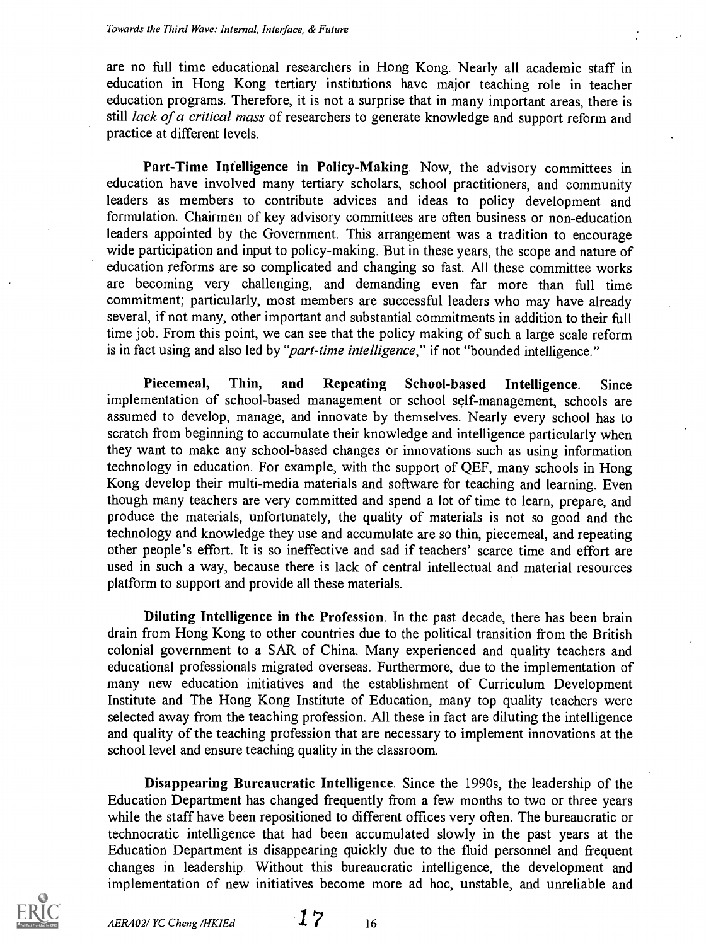are no full time educational researchers in Hong Kong. Nearly all academic staff in education in Hong Kong tertiary institutions have major teaching role in teacher education programs. Therefore, it is not a surprise that in many important areas, there is still lack of a critical mass of researchers to generate knowledge and support reform and practice at different levels.

Part-Time Intelligence in Policy-Making. Now, the advisory committees in education have involved many tertiary scholars, school practitioners, and community leaders as members to contribute advices and ideas to policy development and formulation. Chairmen of key advisory committees are often business or non-education leaders appointed by the Government. This arrangement was a tradition to encourage wide participation and input to policy-making. But in these years, the scope and nature of education reforms are so complicated and changing so fast. All these committee works are becoming very challenging, and demanding even far more than full time commitment; particularly, most members are successful leaders who may have already several, if not many, other important and substantial commitments in addition to their full time job. From this point, we can see that the policy making of such a large scale reform is in fact using and also led by "part-time intelligence," if not "bounded intelligence."

Piecemeal, Thin, and Repeating School-based Intelligence. Since implementation of school-based management or school self-management, schools are assumed to develop, manage, and innovate by themselves. Nearly every school has to scratch from beginning to accumulate their knowledge and intelligence particularly when they want to make any school-based changes or innovations such as using information technology in education. For example, with the support of QEF, many schools in Hong Kong develop their multi-media materials and software for teaching and learning. Even though many teachers are very committed and spend a lot of time to learn, prepare, and produce the materials, unfortunately, the quality of materials is not so good and the technology and knowledge they use and accumulate are so thin, piecemeal, and repeating other people's effort. It is so ineffective and sad if teachers' scarce time and effort are used in such a way, because there is lack of central intellectual and material resources platform to support and provide all these materials.

Diluting Intelligence in the Profession. In the past decade, there has been brain drain from Hong Kong to other countries due to the political transition from the British colonial government to a SAR of China. Many experienced and quality teachers and educational professionals migrated overseas. Furthermore, due to the implementation of many new education initiatives and the establishment of Curriculum Development Institute and The Hong Kong Institute of Education, many top quality teachers were selected away from the teaching profession. All these in fact are diluting the intelligence and quality of the teaching profession that are necessary to implement innovations at the school level and ensure teaching quality in the classroom.

Disappearing Bureaucratic Intelligence. Since the 1990s, the leadership of the Education Department has changed frequently from a few months to two or three years while the staff have been repositioned to different offices very often. The bureaucratic or technocratic intelligence that had been accumulated slowly in the past years at the Education Department is disappearing quickly due to the fluid personnel and frequent changes in leadership. Without this bureaucratic intelligence, the development and implementation of new initiatives become more ad hoc, unstable, and unreliable and

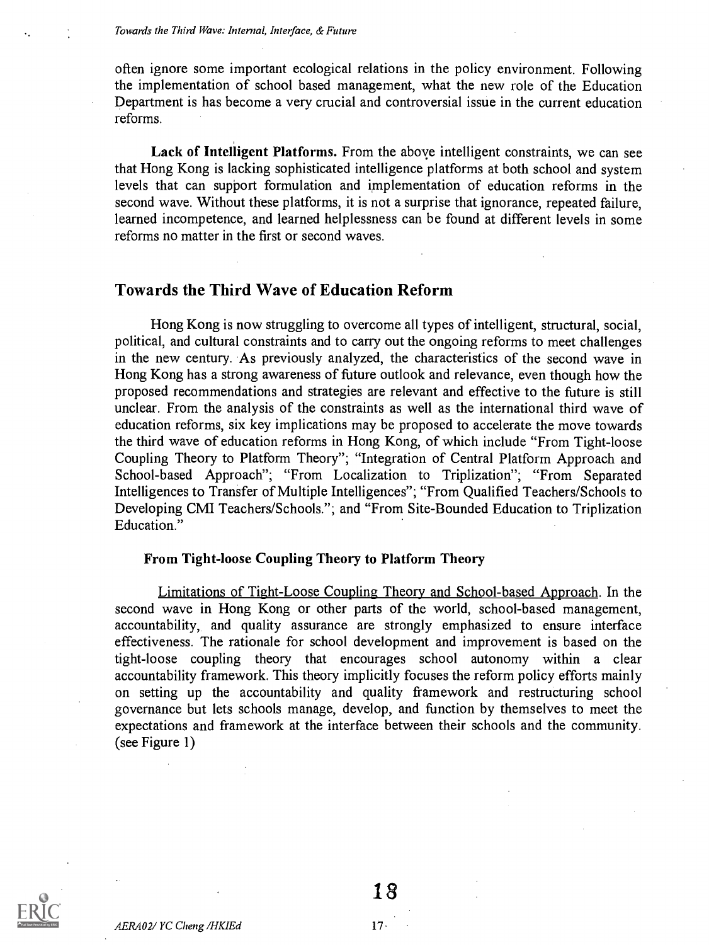often ignore some important ecological relations in the policy environment. Following the implementation of school based management, what the new role of the Education Department is has become a very crucial and controversial issue in the current education reforms.

Lack of Intelligent Platforms. From the above intelligent constraints, we can see that Hong Kong is lacking sophisticated intelligence platforms at both school and system levels that can support formulation and implementation of education reforms in the second wave. Without these platforms, it is not a surprise that ignorance, repeated failure, learned incompetence, and learned helplessness can be found at different levels in some reforms no matter in the first or second waves.

## Towards the Third Wave of Education Reform

Hong Kong is now struggling to overcome all types of intelligent, structural, social, political, and cultural constraints and to carry out the ongoing reforms to meet challenges in the new century. As previously analyzed, the characteristics of the second wave in Hong Kong has a strong awareness of future outlook and relevance, even though how the proposed recommendations and strategies are relevant and effective to the future is still unclear. From the analysis of the constraints as well as the international third wave of education reforms, six key implications may be proposed to accelerate the move towards the third wave of education reforms in Hong Kong, of which include "From Tight-loose Coupling Theory to Platform Theory"; "Integration of Central Platform Approach and School-based Approach"; "From Localization to Triplization"; "From Separated Intelligences to Transfer of Multiple Intelligences"; "From Qualified Teachers/Schools to Developing CMI Teachers/Schools."; and "From Site-Bounded Education to Triplization Education."

### From Tight-loose Coupling Theory to Platform Theory

Limitations of Tight-Loose Coupling Theory and School-based Approach. In the second wave in Hong Kong or other parts of the world, school-based management, accountability, and quality assurance are strongly emphasized to ensure interface effectiveness. The rationale for school development and improvement is based on the tight-loose coupling theory that encourages school autonomy within a clear accountability framework. This theory implicitly focuses the reform policy efforts mainly on setting up the accountability and quality framework and restructuring school governance but lets schools manage, develop, and function by themselves to meet the expectations and framework at the interface between their schools and the community. (see Figure 1)



 $AERA02/$  YC Cheng /HKIEd 17  $\cdot$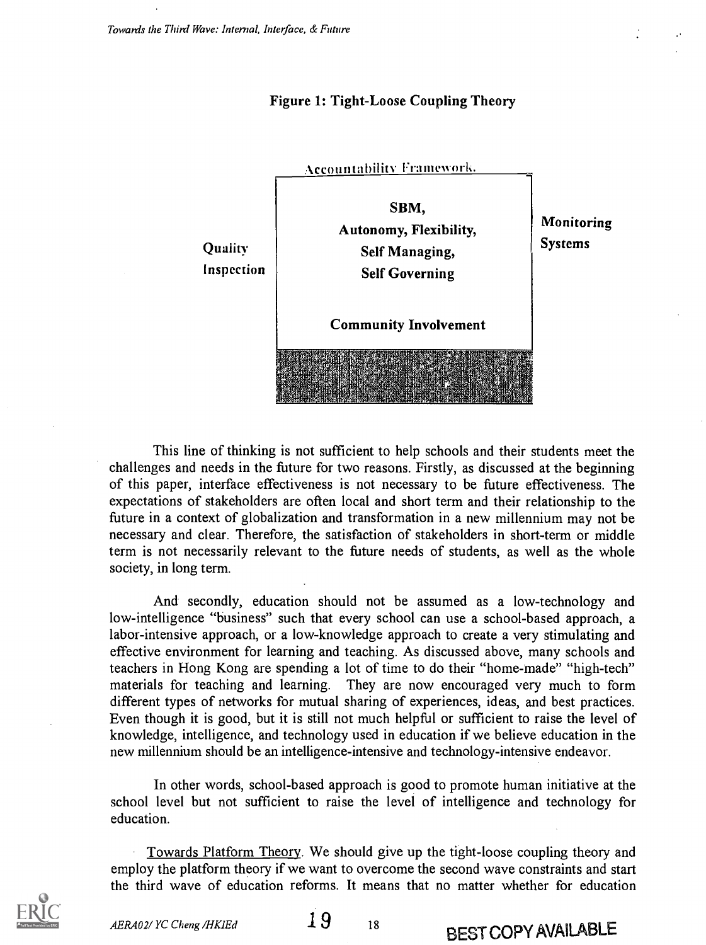

## Figure 1: Tight-Loose Coupling Theory

This line of thinking is not sufficient to help schools and their students meet the challenges and needs in the future for two reasons. Firstly, as discussed at the beginning of this paper, interface effectiveness is not necessary to be future effectiveness. The expectations of stakeholders are often local and short term and their relationship to the future in a context of globalization and transformation in a new millennium may not be necessary and clear. Therefore, the satisfaction of stakeholders in short-term or middle term is not necessarily relevant to the future needs of students, as well as the whole society, in long term.

And secondly, education should not be assumed as a low-technology and low-intelligence "business" such that every school can use a school-based approach, a labor-intensive approach, or a low-knowledge approach to create a very stimulating and effective environment for learning and teaching. As discussed above, many schools and teachers in Hong Kong are spending a lot of time to do their "home-made" "high-tech" materials for teaching and learning. They are now encouraged very much to form different types of networks for mutual sharing of experiences, ideas, and best practices. Even though it is good, but it is still not much helpful or sufficient to raise the level of knowledge, intelligence, and technology used in education if we believe education in the new millennium should be an intelligence-intensive and technology-intensive endeavor.

In other words, school-based approach is good to promote human initiative at the school level but not sufficient to raise the level of intelligence and technology for education.

Towards Platform Theory. We should give up the tight-loose coupling theory and employ the platform theory if we want to overcome the second wave constraints and start the third wave of education reforms. It means that no matter whether for education

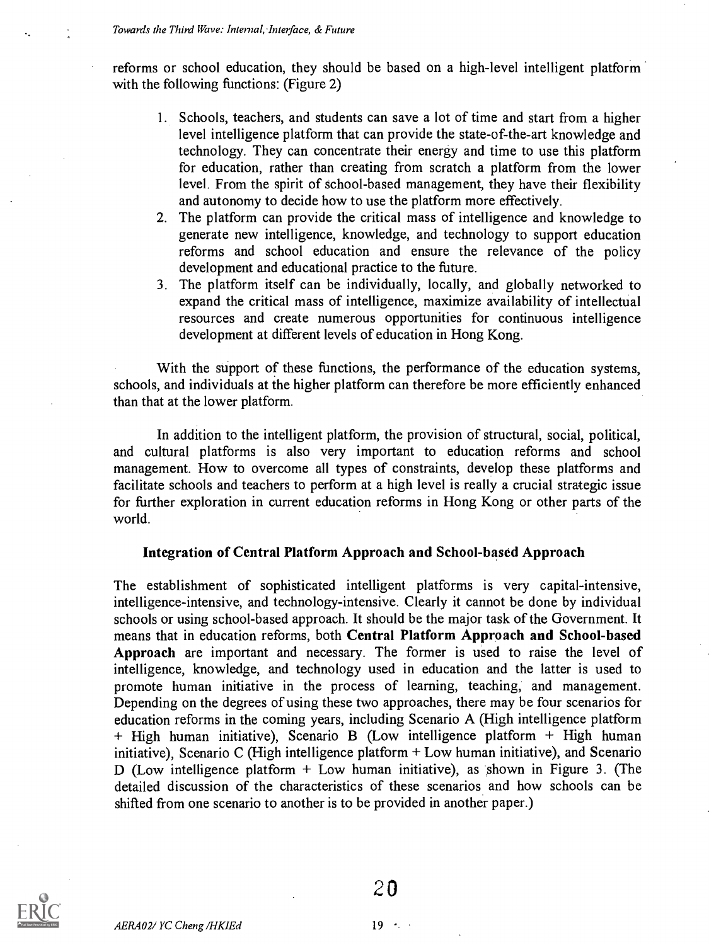reforms or school education, they should be based on a high-level intelligent platform with the following functions: (Figure 2)

- 1. Schools, teachers, and students can save a lot of time and start from a higher level intelligence platform that can provide the state-of-the-art knowledge and technology. They can concentrate their energy and time to use this platform for education, rather than creating from scratch a platform from the lower level. From the spirit of school-based management, they have their flexibility and autonomy to decide how to use the platform more effectively.
- 2. The platform can provide the critical mass of intelligence and knowledge to generate new intelligence, knowledge, and technology to support education reforms and school education and ensure the relevance of the policy development and educational practice to the future.
- 3. The platform itself can be individually, locally, and globally networked to expand the critical mass of intelligence, maximize availability of intellectual resources and create numerous opportunities for continuous intelligence development at different levels of education in Hong Kong.

With the support of these functions, the performance of the education systems, schools, and individuals at the higher platform can therefore be more efficiently enhanced than that at the lower platform.

In addition to the intelligent platform, the provision of structural, social, political, and cultural platforms is also very important to education reforms and school management. How to overcome all types of constraints, develop these platforms and facilitate schools and teachers to perform at a high level is really a crucial strategic issue for further exploration in current education reforms in Hong Kong or other parts of the world.

## Integration of Central Platform Approach and School-based Approach

The establishment of sophisticated intelligent platforms is very capital-intensive, intelligence-intensive, and technology-intensive. Clearly it cannot be done by individual schools or using school-based approach. It should be the major task of the Government. It means that in education reforms, both Central Platform Approach and School-based Approach are important and necessary. The former is used to raise the level of intelligence, knowledge, and technology used in education and the latter is used to promote human initiative in the process of learning, teaching, and management. Depending on the degrees of using these two approaches, there may be four scenarios for education reforms in the coming years, including Scenario A (High intelligence platform + High human initiative), Scenario B (Low intelligence platform + High human initiative), Scenario C (High intelligence platform + Low human initiative), and Scenario D (Low intelligence platform + Low human initiative), as shown in Figure 3. (The detailed discussion of the characteristics of these scenarios and how schools can be shifted from one scenario to another is to be provided in another paper.)



 $20$ 

 $AERA02/$  YC Cheng /HKIEd 19  $\cdot$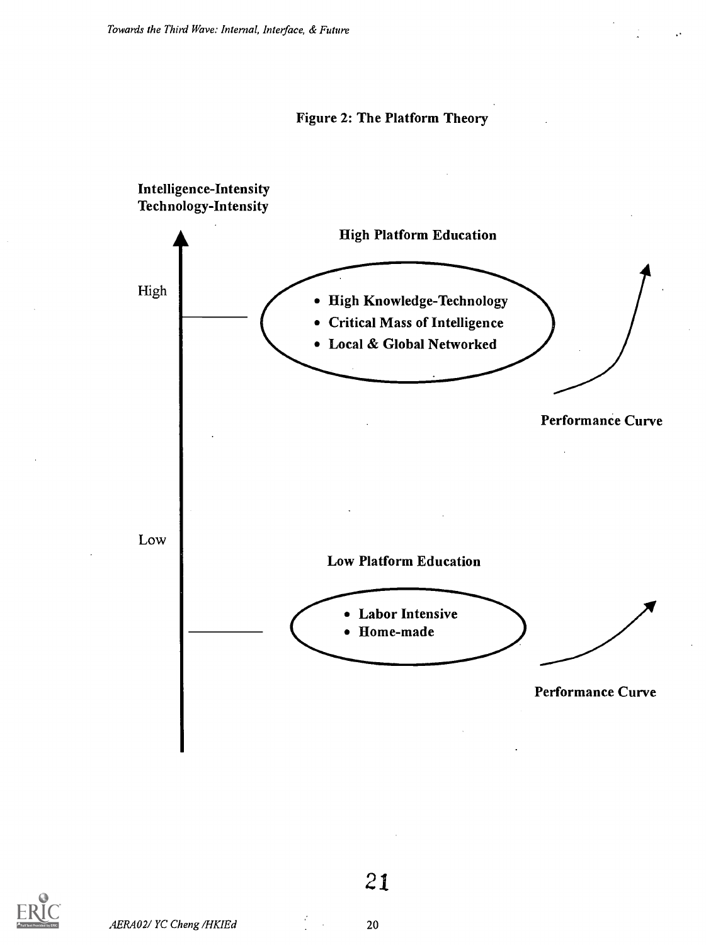





21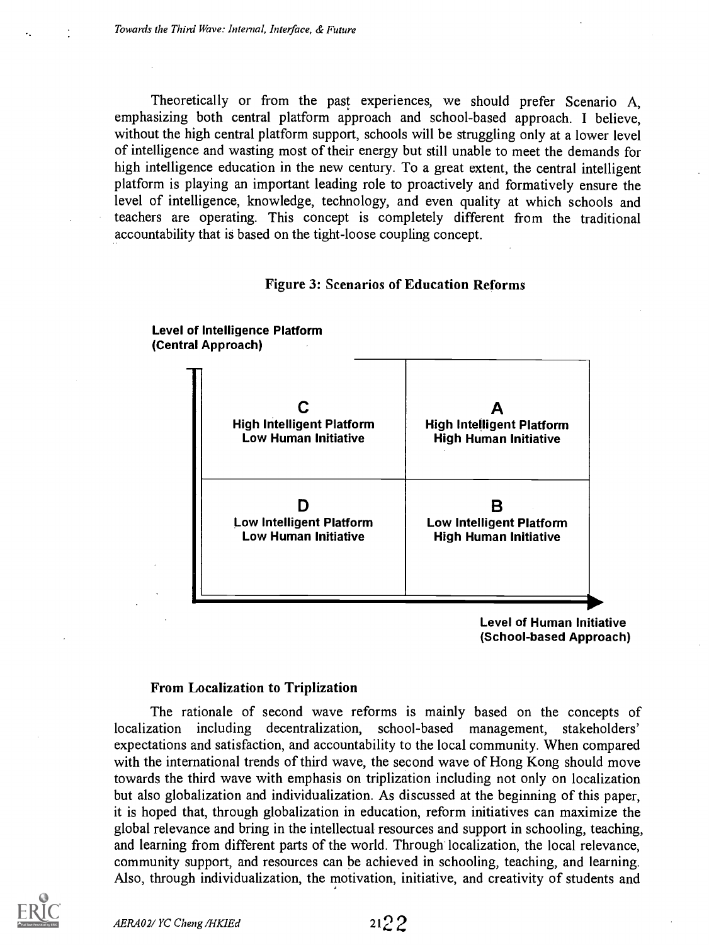Theoretically or from the past experiences, we should prefer Scenario A, emphasizing both central platform approach and school-based approach. I believe, without the high central platform support, schools will be struggling only at a lower level of intelligence and wasting most of their energy but still unable to meet the demands for high intelligence education in the new century. To a great extent, the central intelligent platform is playing an important leading role to proactively and formatively ensure the level of intelligence, knowledge, technology, and even quality at which schools and teachers are operating. This concept is completely different from the traditional accountability that is based on the tight-loose coupling concept.

## Figure 3: Scenarios of Education Reforms



Level of Intelligence Platform (Central Approach)

> Level of Human Initiative (School-based Approach)

## From Localization to Triplization

The rationale of second wave reforms is mainly based on the concepts of localization including decentralization, school-based management, stakeholders' expectations and satisfaction, and accountability to the local community. When compared with the international trends of third wave, the second wave of Hong Kong should move towards the third wave with emphasis on triplization including not only on localization but also globalization and individualization. As discussed at the beginning of this paper, it is hoped that, through globalization in education, reform initiatives can maximize the global relevance and bring in the intellectual resources and support in schooling, teaching, and learning from different parts of the world. Through' localization, the local relevance, community support, and resources can be achieved in schooling, teaching, and learning. Also, through individualization, the motivation, initiative, and creativity of students and



AERA02/ YC Cheng /HKIEd  $2122$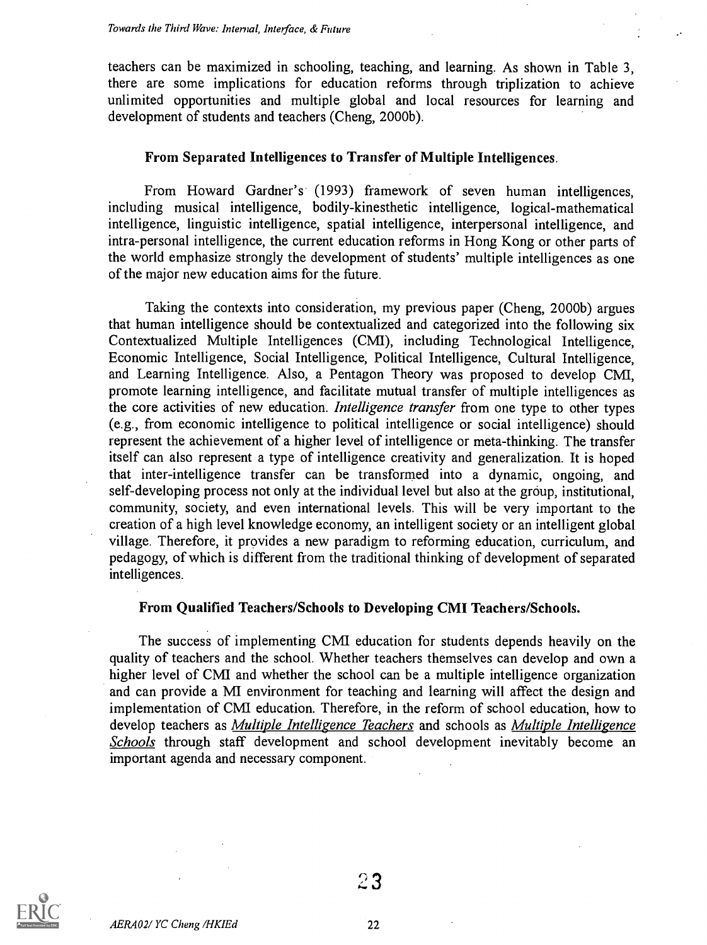teachers can be maximized in schooling, teaching, and learning. As shown in Table 3, there are some implications for education reforms through triplization to achieve unlimited opportunities and multiple global and local resources for learning and development of students and teachers (Cheng, 2000b).

## From Separated Intelligences to Transfer of Multiple Intelligences.

From Howard Gardner's (1993) framework of seven human intelligences, including musical intelligence, bodily-kinesthetic intelligence, logical-mathematical intelligence, linguistic intelligence, spatial intelligence, interpersonal intelligence, and intra-personal intelligence, the current education reforms in Hong Kong or other parts of the world emphasize strongly the development of students' multiple intelligences as one of the major new education aims for the future.

Taking the contexts into consideration, my previous paper (Cheng, 2000b) argues that human intelligence should be contextualized and categorized into the following six Contextualized Multiple Intelligences (CMI), including Technological Intelligence, Economic Intelligence, Social Intelligence, Political Intelligence, Cultural Intelligence, and Learning Intelligence. Also, a Pentagon Theory was proposed to develop CMI, promote learning intelligence, and facilitate mutual transfer of multiple intelligences as the core activities of new education. Intelligence transfer from one type to other types (e.g., from economic intelligence to political intelligence or social intelligence) should represent the achievement of a higher level of intelligence or meta-thinking. The transfer itself can also represent a type of intelligence creativity and generalization. It is hoped that inter-intelligence transfer can be transformed into a dynamic, ongoing, and self-developing process not only at the individual level but also at the group, institutional, community, society, and even international levels. This will be very important to the creation of a high level knowledge economy, an intelligent society or an intelligent global village. Therefore, it provides a new paradigm to reforming education, curriculum, and pedagogy, of which is different from the traditional thinking of development of separated intelligences.

### From Qualified Teachers/Schools to Developing CMI Teachers/Schools.

The success of implementing CMI education for students depends heavily on the quality of teachers and the school. Whether teachers themselves can develop and own a higher level of CMI and whether the school can be a multiple intelligence organization and can provide a MI environment for teaching and learning will affect the design and implementation of CMI education. Therefore, in the reform of school education, how to develop teachers as *Multiple Intelligence Teachers* and schools as *Multiple Intelligence* Schools through staff development and school development inevitably become an important agenda and necessary component.



AERA02/ YC Cheng /HKIEd 22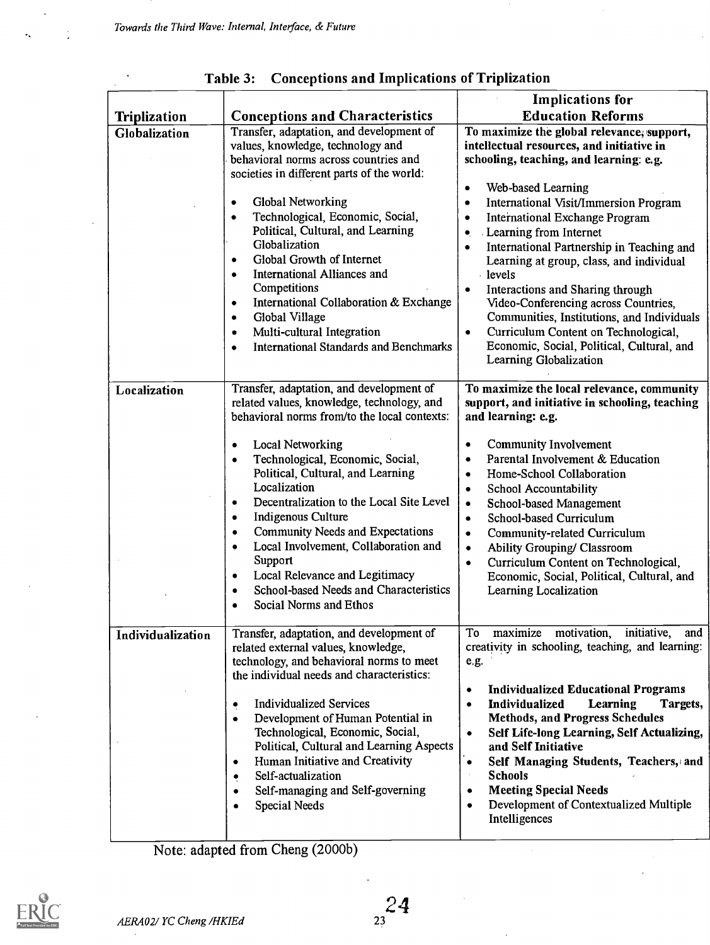|                                                               |                                                                                                                                                                                                                                                                                                                                                                                                                                                                                                                                                                                                              | <b>Implications for</b>                                                                                                                                                                                                                                                                                                                                                                                                                                                                                                                                                                                                                                                  |  |  |
|---------------------------------------------------------------|--------------------------------------------------------------------------------------------------------------------------------------------------------------------------------------------------------------------------------------------------------------------------------------------------------------------------------------------------------------------------------------------------------------------------------------------------------------------------------------------------------------------------------------------------------------------------------------------------------------|--------------------------------------------------------------------------------------------------------------------------------------------------------------------------------------------------------------------------------------------------------------------------------------------------------------------------------------------------------------------------------------------------------------------------------------------------------------------------------------------------------------------------------------------------------------------------------------------------------------------------------------------------------------------------|--|--|
| <b>Conceptions and Characteristics</b><br><b>Triplization</b> |                                                                                                                                                                                                                                                                                                                                                                                                                                                                                                                                                                                                              | <b>Education Reforms</b>                                                                                                                                                                                                                                                                                                                                                                                                                                                                                                                                                                                                                                                 |  |  |
| Globalization                                                 | Transfer, adaptation, and development of<br>values, knowledge, technology and<br>behavioral norms across countries and<br>societies in different parts of the world:<br><b>Global Networking</b><br>Technological, Economic, Social,<br>Political, Cultural, and Learning<br>Globalization<br>Global Growth of Internet<br><b>International Alliances and</b><br>Competitions<br>International Collaboration & Exchange<br>$\bullet$<br>Global Village<br>٠<br>Multi-cultural Integration<br>٠<br><b>International Standards and Benchmarks</b>                                                              | To maximize the global relevance, support,<br>intellectual resources, and initiative in<br>schooling, teaching, and learning: e.g.<br>Web-based Learning<br><b>International Visit/Immersion Program</b><br>$\bullet$<br><b>International Exchange Program</b><br>٠<br>Learning from Internet<br>۰<br>International Partnership in Teaching and<br>$\bullet$<br>Learning at group, class, and individual<br>levels<br><b>Interactions and Sharing through</b><br>٠<br>Video-Conferencing across Countries,<br>Communities, Institutions, and Individuals<br>Curriculum Content on Technological,<br>Economic, Social, Political, Cultural, and<br>Learning Globalization |  |  |
| Localization                                                  | Transfer, adaptation, and development of<br>related values, knowledge, technology, and<br>behavioral norms from/to the local contexts:<br><b>Local Networking</b><br>٠<br>Technological, Economic, Social,<br>Political, Cultural, and Learning<br>Localization<br>Decentralization to the Local Site Level<br><b>Indigenous Culture</b><br>$\bullet$<br><b>Community Needs and Expectations</b><br>$\bullet$<br>Local Involvement, Collaboration and<br>۰<br>Support<br>Local Relevance and Legitimacy<br>$\bullet$<br>School-based Needs and Characteristics<br>$\bullet$<br><b>Social Norms and Ethos</b> | To maximize the local relevance, community<br>support, and initiative in schooling, teaching<br>and learning: e.g.<br><b>Community Involvement</b><br>$\bullet$<br>Parental Involvement & Education<br>$\bullet$<br>Home-School Collaboration<br>$\bullet$<br>School Accountability<br>$\bullet$<br><b>School-based Management</b><br>$\bullet$<br>School-based Curriculum<br>$\bullet$<br><b>Community-related Curriculum</b><br>$\bullet$<br><b>Ability Grouping/ Classroom</b><br>$\bullet$<br>Curriculum Content on Technological,<br>$\bullet$<br>Economic, Social, Political, Cultural, and<br><b>Learning Localization</b>                                        |  |  |
| Individualization                                             | Transfer, adaptation, and development of<br>related external values, knowledge,<br>technology, and behavioral norms to meet<br>the individual needs and characteristics:<br><b>Individualized Services</b><br>Development of Human Potential in<br>Technological, Economic, Social,<br>Political, Cultural and Learning Aspects<br>Human Initiative and Creativity<br>٠<br>Self-actualization<br>Self-managing and Self-governing<br>Special Needs<br>$\bullet$                                                                                                                                              | maximize<br>initiative.<br>To<br>motivation.<br>and<br>creativity in schooling, teaching, and learning:<br>e.g.<br><b>Individualized Educational Programs</b><br>Individualized<br>Learning<br>Targets,<br><b>Methods, and Progress Schedules</b><br>Self Life-long Learning, Self Actualizing,<br>$\bullet$<br>and Self Initiative<br>Self Managing Students, Teachers, and<br>$\bullet$<br><b>Schools</b><br><b>Meeting Special Needs</b><br>$\bullet$<br>Development of Contextualized Multiple<br>$\bullet$<br>Intelligences                                                                                                                                         |  |  |

|  |  | <b>Table 3:</b> Conceptions and Implications of Triplization |
|--|--|--------------------------------------------------------------|
|--|--|--------------------------------------------------------------|

Note: adapted from Cheng (2000b)



 $\bar{A}$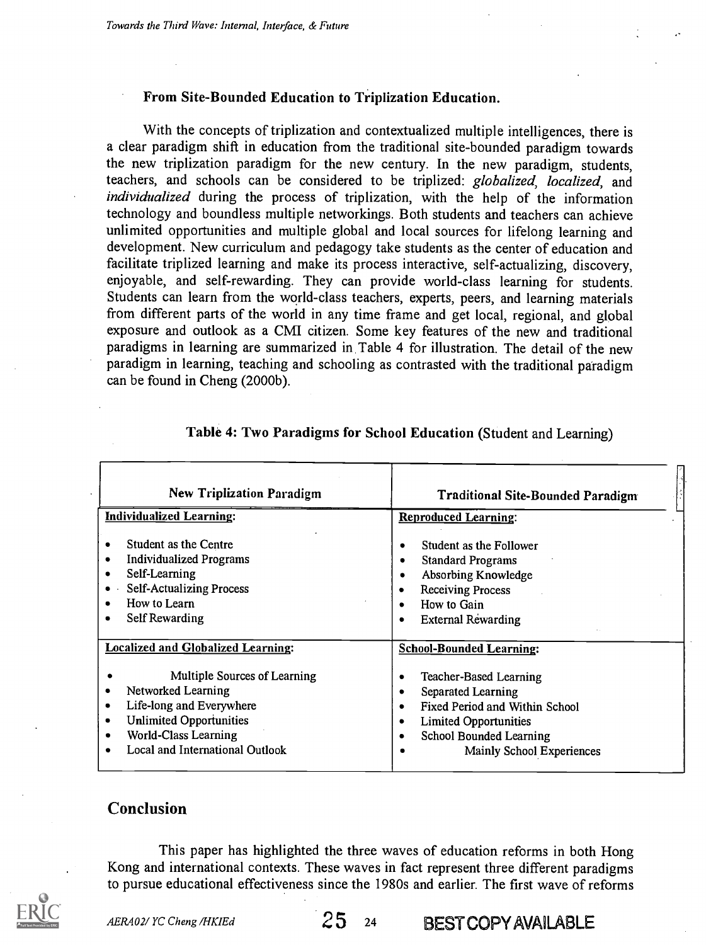## From Site-Bounded Education to Triplization Education.

With the concepts of triplization and contextualized multiple intelligences, there is a clear paradigm shift in education from the traditional site-bounded paradigm towards the new triplization paradigm for the new century. In the new paradigm, students, teachers, and schools can be considered to be triplized: globalized, localized, and individualized during the process of triplization, with the help of the information technology and boundless multiple networkings. Both students and teachers can achieve unlimited opportunities and multiple global and local sources for lifelong learning and development. New curriculum and pedagogy take students as the center of education and facilitate triplized learning and make its process interactive, self-actualizing, discovery, enjoyable, and self-rewarding. They can provide world-class learning for students. Students can learn from the world-class teachers, experts, peers, and learning materials from different parts of the world in any time frame and get local, regional, and global exposure and outlook as a CMI citizen. Some key features of the new and traditional paradigms in learning are summarized in Table 4 for illustration. The detail of the new paradigm in learning, teaching and schooling as contrasted with the traditional paradigm can be found in Cheng (2000b).

| <b>New Triplization Paradigm</b>                     | <b>Traditional Site-Bounded Paradigm</b>               |
|------------------------------------------------------|--------------------------------------------------------|
| <b>Individualized Learning:</b>                      | <b>Reproduced Learning:</b>                            |
| <b>Student as the Centre</b>                         | Student as the Follower                                |
| <b>Individualized Programs</b><br>٠<br>Self-Learning | <b>Standard Programs</b><br><b>Absorbing Knowledge</b> |
| <b>Self-Actualizing Process</b><br>٠                 | Receiving Process                                      |
| How to Learn                                         | How to Gain<br>$\bullet$                               |
| <b>Self Rewarding</b><br>٠                           | <b>External Rewarding</b>                              |
| <b>Localized and Globalized Learning:</b>            | <b>School-Bounded Learning:</b>                        |
| <b>Multiple Sources of Learning</b>                  | Teacher-Based Learning                                 |
| Networked Learning                                   | <b>Separated Learning</b>                              |
| Life-long and Everywhere<br>٠                        | Fixed Period and Within School                         |
| <b>Unlimited Opportunities</b>                       | <b>Limited Opportunities</b>                           |
| World-Class Learning                                 | <b>School Bounded Learning</b>                         |
| Local and International Outlook                      | <b>Mainly School Experiences</b>                       |
|                                                      |                                                        |

### Table 4: Two Paradigms for School Education (Student and Learning)

## Conclusion

This paper has highlighted the three waves of education reforms in both Hong Kong and international contexts. These waves in fact represent three different paradigms to pursue educational effectiveness since the 1980s and earlier. The first wave of reforms



AERA02/ YC Cheng /HKIEd  $25$  24 BEST COPY AVAILABLE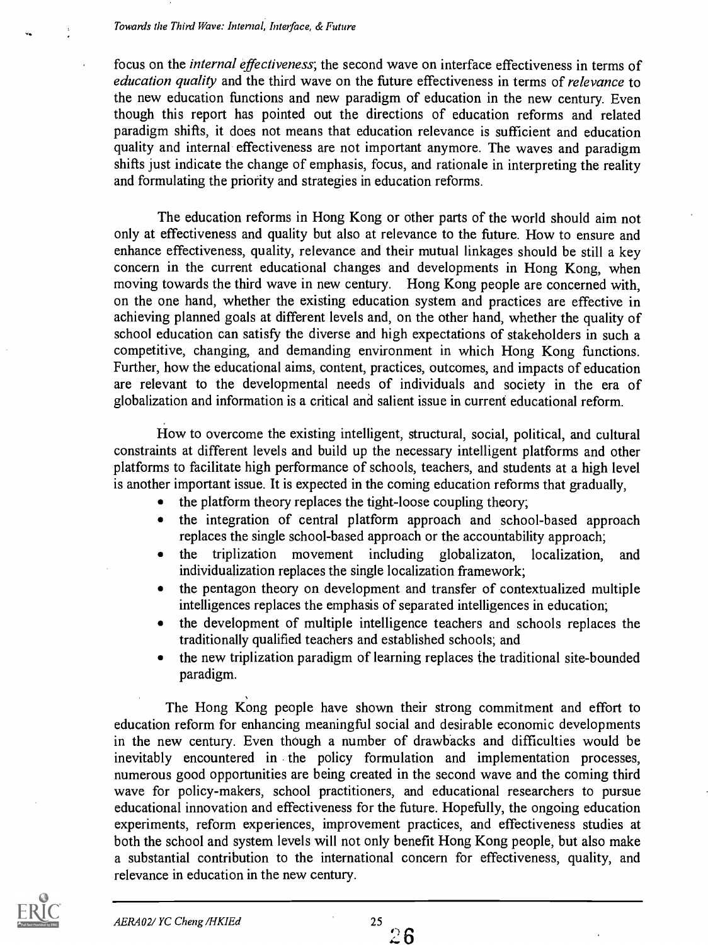focus on the internal effectiveness; the second wave on interface effectiveness in terms of education quality and the third wave on the future effectiveness in terms of relevance to the new education functions and new paradigm of education in the new century. Even though this report has pointed out the directions of education reforms and related paradigm shifts, it does not means that education relevance is sufficient and education quality and internal effectiveness are not important anymore. The waves and paradigm shifts just indicate the change of emphasis, focus, and rationale in interpreting the reality and formulating the priority and strategies in education reforms.

The education reforms in Hong Kong or other parts of the world should aim not only at effectiveness and quality but also at relevance to the future. How to ensure and enhance effectiveness, quality, relevance and their mutual linkages should be still a key concern in the current educational changes and developments in Hong Kong, when moving towards the third wave in new century. Hong Kong people are concerned with, on the one hand, whether the existing education system and practices are effective in achieving planned goals at different levels and, on the other hand, whether the quality of school education can satisfy the diverse and high expectations of stakeholders in such a competitive, changing, and demanding environment in which Hong Kong functions. Further, how the educational aims, content, practices, outcomes, and impacts of education are relevant to the developmental needs of individuals and society in the era of globalization and information is a critical and salient issue in current educational reform.

How to overcome the existing intelligent, structural, social, political, and cultural constraints at different levels and build up the necessary intelligent platforms and other platforms to facilitate high performance of schools, teachers, and students at a high level is another important issue. It is expected in the coming education reforms that gradually,

- the platform theory replaces the tight-loose coupling theory;
- the integration of central platform approach and school-based approach replaces the single school-based approach or the accountability approach;
- the triplization movement including globalizaton, localization, and  $\bullet$ individualization replaces the single localization framework;
- the pentagon theory on development and transfer of contextualized multiple intelligences replaces the emphasis of separated intelligences in education;
- the development of multiple intelligence teachers and schools replaces the traditionally qualified teachers and established schools; and
- the new triplization paradigm of learning replaces the traditional site-bounded paradigm.

The Hong Kong people have shown their strong commitment and effort to education reform for enhancing meaningful social and desirable economic developments in the new century. Even though a number of drawbacks and difficulties would be inevitably encountered in the policy formulation and implementation processes, numerous good opportunities are being created in the second wave and the coming third wave for policy-makers, school practitioners, and educational researchers to pursue educational innovation and effectiveness for the future. Hopefully, the ongoing education experiments, reform experiences, improvement practices, and effectiveness studies at both the school and system levels will not only benefit Hong Kong people, but also make a substantial contribution to the international concern for effectiveness, quality, and relevance in education in the new century.

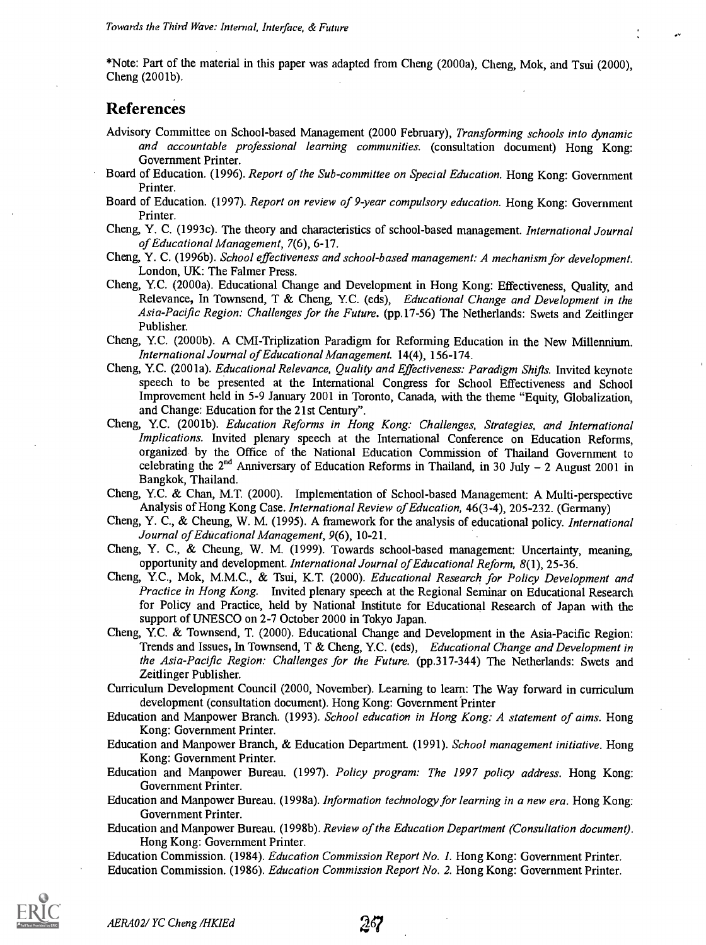\*Note: Part of the material in this paper was adapted from Cheng (2000a), Cheng, Mok, and Tsui (2000), Cheng (2001b).

## **References**

- Advisory Committee on School-based Management (2000 February), Transforming schools into dynamic and accountable professional learning communities. (consultation document) Hong Kong: Government Printer.
- Board of Education. (1996). Report of the Sub-committee on Special Education. Hong Kong: Government Printer.
- Board of Education. (1997). Report on review of 9-year compulsory education. Hong Kong: Government Printer.
- Cheng, Y. C. (1993c). The theory and characteristics of school-based management. International Journal of Educational Management, 7(6), 6-17.
- Cheng, Y. C. (1996b). School effectiveness and school-based management: A mechanism for development. London, UK: The Falmer Press.
- Cheng, Y.C. (2000a). Educational Change and Development in Hong Kong: Effectiveness, Quality, and Relevance, In Townsend, T & Cheng, Y.C. (eds), Educational Change and Development in the Asia-Pacific Region: Challenges for the Future. (pp.17-56) The Netherlands: Swets and Zeitlinger Publisher.
- Cheng, Y.C. (2000b). A CMI-Triplization Paradigm for Reforming Education in the New Millennium. International Journal of Educational Management. 14(4), 156-174.
- Cheng, Y.C. (2001a). Educational Relevance, Quality and Effectiveness: Paradigm Shifts. Invited keynote speech to be presented at the International Congress for School Effectiveness and School Improvement held in 5-9 January 2001 in Toronto, Canada, with the theme "Equity, Globalization, and Change: Education for the 21st Century".
- Cheng, Y.C. (2001b). Education Reforms in Hong Kong: Challenges, Strategies, and International Implications. Invited plenary speech at the International Conference on Education Reforms, organized by the Office of the National Education Commission of Thailand Government to celebrating the  $2<sup>nd</sup>$  Anniversary of Education Reforms in Thailand, in 30 July - 2 August 2001 in Bangkok, Thailand.
- Cheng, Y.C. & Chan, M.T. (2000). Implementation of School-based Management: A Multi-perspective Analysis of Hong Kong Case. International Review of Education, 46(3-4), 205-232. (Germany)
- Cheng, Y. C., & Cheung, W. M. (1995). A framework for the analysis of educational policy. International Journal of Educational Management, 9(6), 10-21.
- Cheng, Y. C., & Cheung, W. M. (1999). Towards school-based management: Uncertainty, meaning, opportunity and development. International Journal of Educational Reform, 8(1), 25-36.
- Cheng, Y.C., Mok, M.M.C., & Tsui, K.T. (2000). Educational Research for Policy Development and Practice in Hong Kong. Invited plenary speech at the Regional Seminar on Educational Research for Policy and Practice, held by National Institute for Educational Research of Japan with the support of UNESCO on 2-7 October 2000 in Tokyo Japan.
- Cheng, Y.C. & Townsend, T. (2000). Educational Change and Development in the Asia-Pacific Region: Trends and Issues, In Townsend, T & Cheng, Y.C. (eds), Educational Change and Development in the Asia-Pacific Region: Challenges for the Future. (pp.317-344) The Netherlands: Swets and Zeitlinger Publisher.
- Curriculum Development Council (2000, November). Learning to learn: The Way forward in curriculum development (consultation document). Hong Kong: Government Printer
- Education and Manpower Branch. (1993). School education in Hong Kong: A statement of aims. Hong Kong: Government Printer.
- Education and Manpower Branch, & Education Department. (1991). School management initiative. Hong Kong: Government Printer.
- Education and Manpower Bureau. (1997). Policy program: The 1997 policy address. Hong Kong: Government Printer.
- Education and Manpower Bureau. (1998a). Information technology for learning in a new era. Hong Kong: Government Printer.
- Education and Manpower Bureau. (1998b). Review of the Education Department (Consultation document). Hong Kong: Government Printer.
- Education Commission. (1984). Education Commission Report No. I. Hong Kong: Government Printer. Education Commission. (1986). Education Commission Report No. 2. Hong Kong: Government Printer.

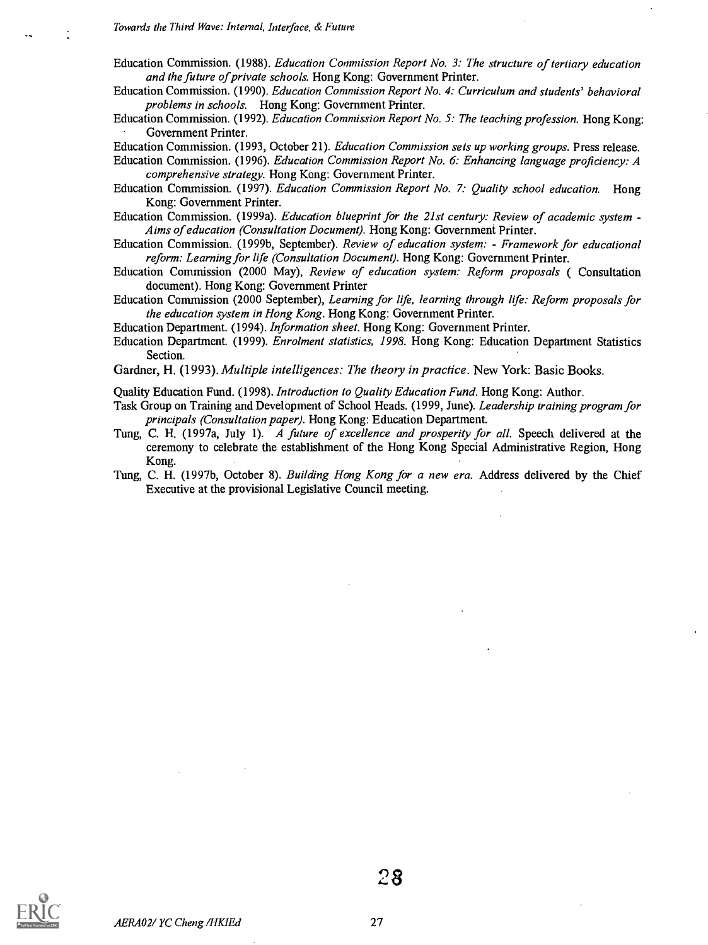Education Commission. (1988). Education Commission Report No. 3: The structure of tertiary education and the future of private schools. Hong Kong: Government Printer.

- Education Commission. (1990). Education Commission Report No. 4: Curriculum and students' behavioral problems in schools. Hong Kong: Government Printer.
- Education Commission. (1992). Education Commission Report No. 5: The teaching profession. Hong Kong: Government Printer.

Education Commission. (1993, October 21). Education Commission sets up working groups. Press release.

- Education Commission. (1996). Education Commission Report No. 6: Enhancing language proficiency: A comprehensive strategy. Hong Kong: Government Printer.
- Education Commission. (1997). Education Commission Report No. 7: Quality school education. Hong Kong: Government Printer.
- Education Commission. (1999a). Education blueprint for the 21st century: Review of academic system Aims of education (Consultation Document). Hong Kong: Government Printer.
- Education Commission. (1999b, September). Review of education system: Framework for educational reform: Learning for life (Consultation Document). Hong Kong: Government Printer.
- Education Commission (2000 May), Review of education system: Reform proposals ( Consultation document). Hong Kong: Government Printer
- Education Commission (2000 September), Learning for life, learning through life: Reform proposals for the education system in Hong Kong. Hong Kong: Government Printer.

Education Department. (1994). Information sheet. Hong Kong: Government Printer.

- Education Department. (1999). Enrolment statistics, 1998. Hong Kong: Education Department Statistics Section.
- Gardner, H. (1993). Multiple intelligences: The theory in practice. New York: Basic Books.

Quality Education Fund. (1998). Introduction to Quality Education Fund. Hong Kong: Author.

- Task Group on Training and Development of School Heads. (1999, June). Leadership training program for principals (Consultation paper). Hong Kong: Education Department.
- Tung, C. H. (1997a, July 1). A future of excellence and prosperity for all. Speech delivered at the ceremony to celebrate the establishment of the Hong Kong Special Administrative Region, Hong Kong.
- Tung, C. H. (1997b, October 8). Building Hong Kong for a new era. Address delivered by the Chief Executive at the provisional Legislative Council meeting.

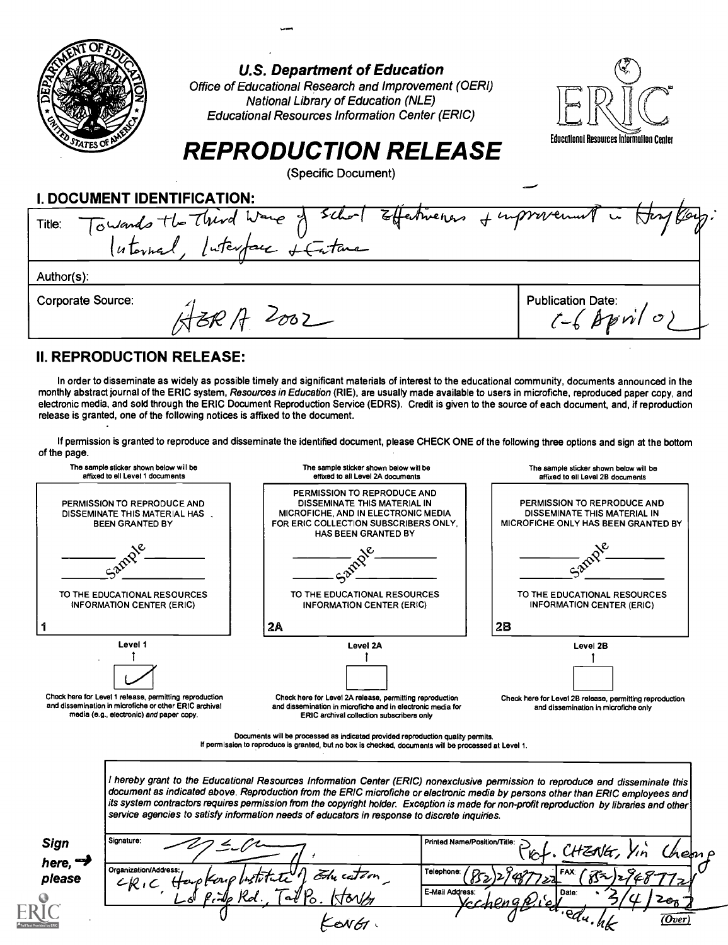

## U.S. Department of Education

Office of Educational Research and Improvement (OERI) National Library of Education (NLE) Educational Resources Information Center (ERIC)



(Over)

# REPRODUCTION RELEASE

(Specific Document)

| <b>I. DOCUMENT IDENTIFICATION:</b> |  |
|------------------------------------|--|
|------------------------------------|--|

## II. REPRODUCTION RELEASE:

In order to disseminate as widely as possible timely and significant materials of interest to the educational community, documents announced in the monthly abstract journal of the ERIC system, Resources in Education (RIE), are usually made available to users in microfiche, reproduced paper copy, and electronic media, and sold through the ERIC Document Reproduction Service (EDRS). Credit is given to the source of each document, and, if reproduction release is granted, one of the following notices is affixed to the document.

If permission is granted to reproduce and disseminate the identified document, please CHECK ONE of the following three options and sign at the bottom of the page.